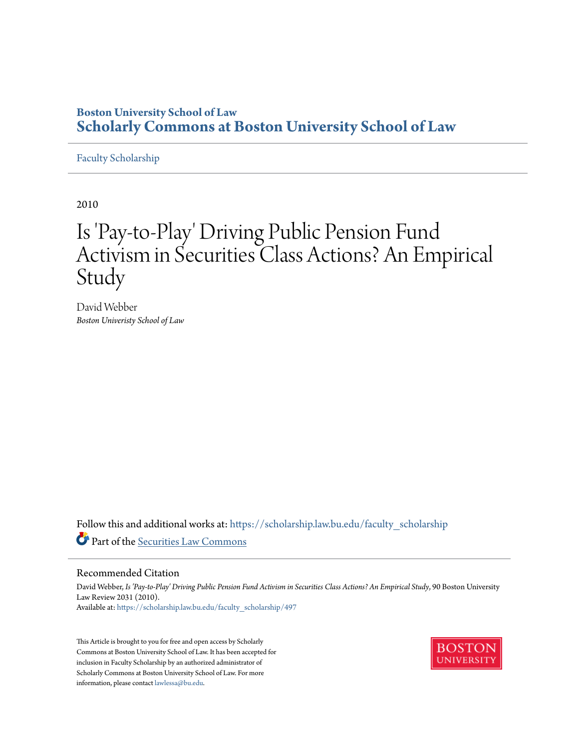# **Boston University School of Law [Scholarly Commons at Boston University School of Law](https://scholarship.law.bu.edu?utm_source=scholarship.law.bu.edu%2Ffaculty_scholarship%2F497&utm_medium=PDF&utm_campaign=PDFCoverPages)**

### [Faculty Scholarship](https://scholarship.law.bu.edu/faculty_scholarship?utm_source=scholarship.law.bu.edu%2Ffaculty_scholarship%2F497&utm_medium=PDF&utm_campaign=PDFCoverPages)

2010

# Is 'Pay-to-Play' Driving Public Pension Fund Activism in Securities Class Actions? An Empirical Study

David Webber *Boston Univeristy School of Law*

Follow this and additional works at: [https://scholarship.law.bu.edu/faculty\\_scholarship](https://scholarship.law.bu.edu/faculty_scholarship?utm_source=scholarship.law.bu.edu%2Ffaculty_scholarship%2F497&utm_medium=PDF&utm_campaign=PDFCoverPages) Part of the [Securities Law Commons](http://network.bepress.com/hgg/discipline/619?utm_source=scholarship.law.bu.edu%2Ffaculty_scholarship%2F497&utm_medium=PDF&utm_campaign=PDFCoverPages)

#### Recommended Citation

David Webber, *Is 'Pay-to-Play' Driving Public Pension Fund Activism in Securities Class Actions? An Empirical Study*, 90 Boston University Law Review 2031 (2010). Available at: [https://scholarship.law.bu.edu/faculty\\_scholarship/497](https://scholarship.law.bu.edu/faculty_scholarship/497?utm_source=scholarship.law.bu.edu%2Ffaculty_scholarship%2F497&utm_medium=PDF&utm_campaign=PDFCoverPages)

This Article is brought to you for free and open access by Scholarly Commons at Boston University School of Law. It has been accepted for inclusion in Faculty Scholarship by an authorized administrator of Scholarly Commons at Boston University School of Law. For more information, please contact [lawlessa@bu.edu.](mailto:lawlessa@bu.edu)

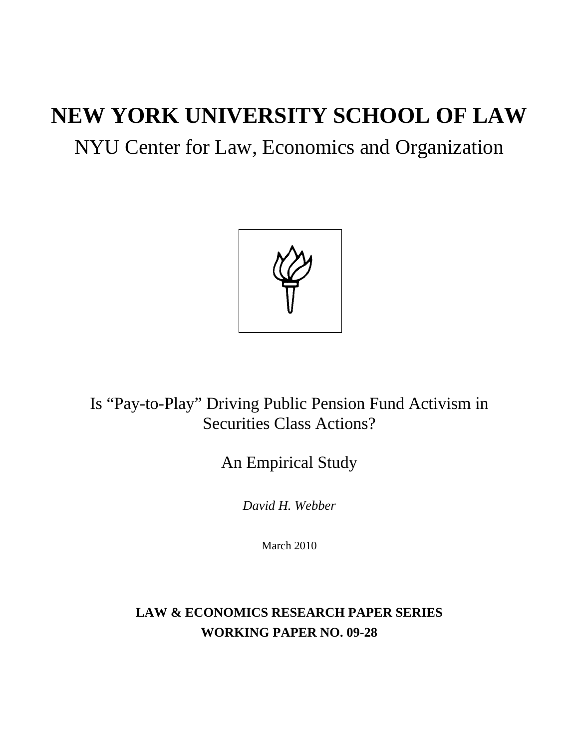# **NEW YORK UNIVERSITY SCHOOL OF LAW**

# NYU Center for Law, Economics and Organization



Is "Pay-to-Play" Driving Public Pension Fund Activism in Securities Class Actions?

# An Empirical Study

*David H. Webber* 

March 2010

**LAW & ECONOMICS RESEARCH PAPER SERIES WORKING PAPER NO. 09-28**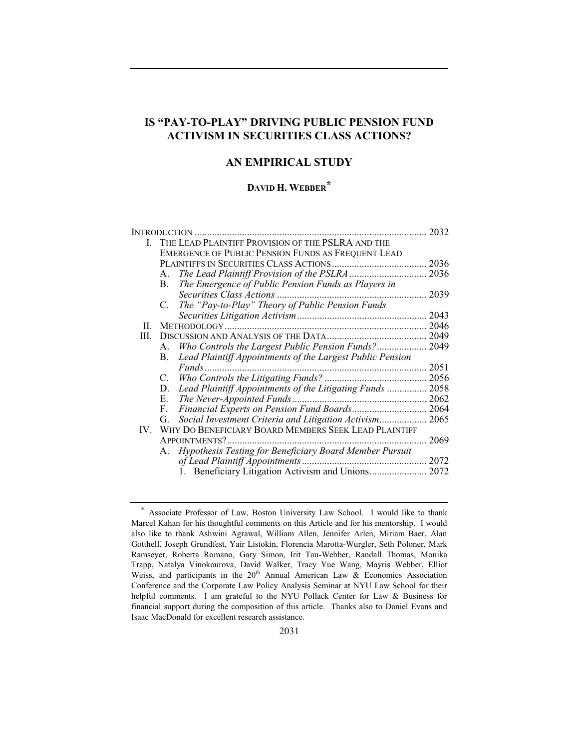## **IS "PAY-TO-PLAY" DRIVING PUBLIC PENSION FUND ACTIVISM IN SECURITIES CLASS ACTIONS?**

### **AN EMPIRICAL STUDY**

### **DAVID H. WEBBER\***

|     | INTRODUCTION.                                                   | 2032 |  |  |  |  |  |  |  |  |  |
|-----|-----------------------------------------------------------------|------|--|--|--|--|--|--|--|--|--|
|     | THE LEAD PLAINTIFF PROVISION OF THE PSLRA AND THE               |      |  |  |  |  |  |  |  |  |  |
|     | EMERGENCE OF PUBLIC PENSION FUNDS AS FREQUENT LEAD              |      |  |  |  |  |  |  |  |  |  |
|     |                                                                 |      |  |  |  |  |  |  |  |  |  |
|     | A.                                                              |      |  |  |  |  |  |  |  |  |  |
|     | The Emergence of Public Pension Funds as Players in<br>В.       |      |  |  |  |  |  |  |  |  |  |
|     |                                                                 | 2039 |  |  |  |  |  |  |  |  |  |
|     | The "Pay-to-Play" Theory of Public Pension Funds<br>C.          |      |  |  |  |  |  |  |  |  |  |
|     |                                                                 | 2043 |  |  |  |  |  |  |  |  |  |
| П.  |                                                                 | 2046 |  |  |  |  |  |  |  |  |  |
| HI. |                                                                 | 2049 |  |  |  |  |  |  |  |  |  |
|     | Who Controls the Largest Public Pension Funds? 2049<br>Α.       |      |  |  |  |  |  |  |  |  |  |
|     | Lead Plaintiff Appointments of the Largest Public Pension<br>В. |      |  |  |  |  |  |  |  |  |  |
|     |                                                                 | 2051 |  |  |  |  |  |  |  |  |  |
|     |                                                                 |      |  |  |  |  |  |  |  |  |  |
|     | Lead Plaintiff Appointments of the Litigating Funds  2058<br>D. |      |  |  |  |  |  |  |  |  |  |
|     | E.                                                              |      |  |  |  |  |  |  |  |  |  |
|     | Financial Experts on Pension Fund Boards 2064<br>F.             |      |  |  |  |  |  |  |  |  |  |
|     | Social Investment Criteria and Litigation Activism 2065<br>G.   |      |  |  |  |  |  |  |  |  |  |
| IV. | WHY DO BENEFICIARY BOARD MEMBERS SEEK LEAD PLAINTIFF            |      |  |  |  |  |  |  |  |  |  |
|     | APPOINTMENTS?.                                                  | 2069 |  |  |  |  |  |  |  |  |  |
|     | Hypothesis Testing for Beneficiary Board Member Pursuit<br>A.   |      |  |  |  |  |  |  |  |  |  |
|     |                                                                 |      |  |  |  |  |  |  |  |  |  |
|     |                                                                 |      |  |  |  |  |  |  |  |  |  |
|     |                                                                 |      |  |  |  |  |  |  |  |  |  |

<sup>\*</sup> Associate Professor of Law, Boston University Law School. I would like to thank Marcel Kahan for his thoughtful comments on this Article and for his mentorship. I would also like to thank Ashwini Agrawal, William Allen, Jennifer Arlen, Miriam Baer, Alan Gotthelf, Joseph Grundfest, Yair Listokin, Florencia Marotta-Wurgler, Seth Poloner, Mark Ramseyer, Roberta Romano, Gary Simon, Irit Tau-Webber, Randall Thomas, Monika Trapp, Natalya Vinokourova, David Walker, Tracy Yue Wang, Mayris Webber, Elliot Weiss, and participants in the  $20<sup>th</sup>$  Annual American Law & Economics Association Conference and the Corporate Law Policy Analysis Seminar at NYU Law School for their helpful comments. I am grateful to the NYU Pollack Center for Law & Business for financial support during the composition of this article. Thanks also to Daniel Evans and Isaac MacDonald for excellent research assistance.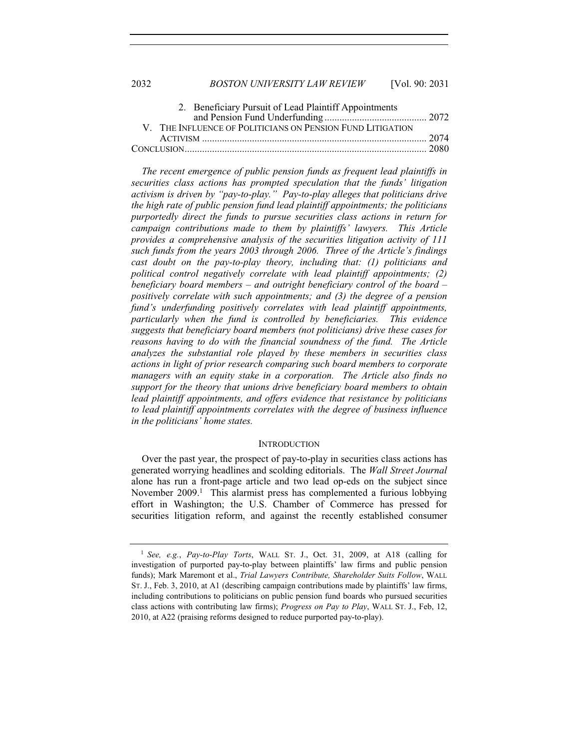2032 *BOSTON UNIVERSITY LAW REVIEW* [Vol. 90: 2031

| 2. Beneficiary Pursuit of Lead Plaintiff Appointments      |  |
|------------------------------------------------------------|--|
|                                                            |  |
| V. THE INFLUENCE OF POLITICIANS ON PENSION FUND LITIGATION |  |
|                                                            |  |
|                                                            |  |

*The recent emergence of public pension funds as frequent lead plaintiffs in securities class actions has prompted speculation that the funds' litigation activism is driven by "pay-to-play." Pay-to-play alleges that politicians drive the high rate of public pension fund lead plaintiff appointments; the politicians purportedly direct the funds to pursue securities class actions in return for campaign contributions made to them by plaintiffs' lawyers. This Article provides a comprehensive analysis of the securities litigation activity of 111 such funds from the years 2003 through 2006. Three of the Article's findings cast doubt on the pay-to-play theory, including that: (1) politicians and political control negatively correlate with lead plaintiff appointments; (2) beneficiary board members – and outright beneficiary control of the board – positively correlate with such appointments; and (3) the degree of a pension fund's underfunding positively correlates with lead plaintiff appointments, particularly when the fund is controlled by beneficiaries. This evidence suggests that beneficiary board members (not politicians) drive these cases for*  reasons having to do with the financial soundness of the fund. The Article *analyzes the substantial role played by these members in securities class actions in light of prior research comparing such board members to corporate managers with an equity stake in a corporation. The Article also finds no support for the theory that unions drive beneficiary board members to obtain lead plaintiff appointments, and offers evidence that resistance by politicians to lead plaintiff appointments correlates with the degree of business influence in the politicians' home states.*

#### **INTRODUCTION**

Over the past year, the prospect of pay-to-play in securities class actions has generated worrying headlines and scolding editorials. The *Wall Street Journal* alone has run a front-page article and two lead op-eds on the subject since November 2009.<sup>1</sup> This alarmist press has complemented a furious lobbying effort in Washington; the U.S. Chamber of Commerce has pressed for securities litigation reform, and against the recently established consumer

<sup>1</sup> *See, e.g.*, *Pay-to-Play Torts*, WALL ST. J., Oct. 31, 2009, at A18 (calling for investigation of purported pay-to-play between plaintiffs' law firms and public pension funds); Mark Maremont et al., *Trial Lawyers Contribute, Shareholder Suits Follow*, WALL ST. J., Feb. 3, 2010, at A1 (describing campaign contributions made by plaintiffs' law firms, including contributions to politicians on public pension fund boards who pursued securities class actions with contributing law firms); *Progress on Pay to Play*, WALL ST. J., Feb, 12, 2010, at A22 (praising reforms designed to reduce purported pay-to-play).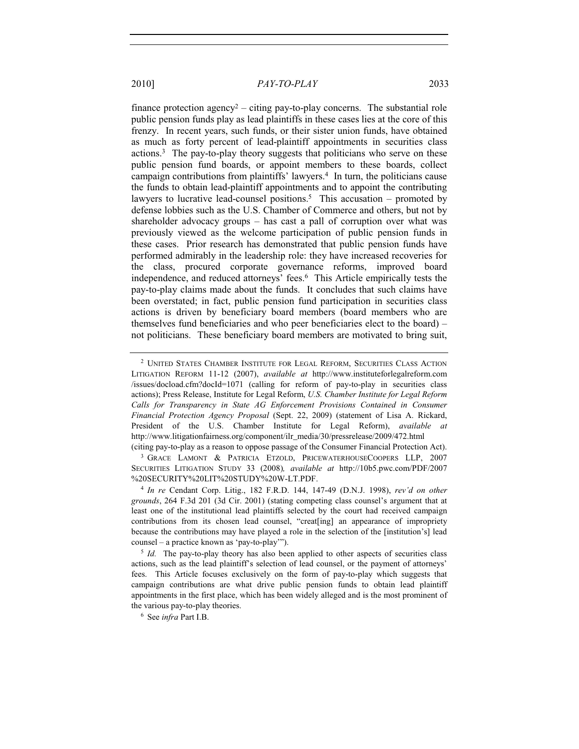finance protection agency<sup>2</sup> – citing pay-to-play concerns. The substantial role public pension funds play as lead plaintiffs in these cases lies at the core of this frenzy. In recent years, such funds, or their sister union funds, have obtained as much as forty percent of lead-plaintiff appointments in securities class actions.3 The pay-to-play theory suggests that politicians who serve on these public pension fund boards, or appoint members to these boards, collect campaign contributions from plaintiffs' lawyers.4 In turn, the politicians cause the funds to obtain lead-plaintiff appointments and to appoint the contributing lawyers to lucrative lead-counsel positions.<sup>5</sup> This accusation – promoted by defense lobbies such as the U.S. Chamber of Commerce and others, but not by shareholder advocacy groups – has cast a pall of corruption over what was previously viewed as the welcome participation of public pension funds in these cases. Prior research has demonstrated that public pension funds have performed admirably in the leadership role: they have increased recoveries for the class, procured corporate governance reforms, improved board independence, and reduced attorneys' fees.6 This Article empirically tests the pay-to-play claims made about the funds. It concludes that such claims have been overstated; in fact, public pension fund participation in securities class actions is driven by beneficiary board members (board members who are themselves fund beneficiaries and who peer beneficiaries elect to the board) – not politicians. These beneficiary board members are motivated to bring suit,

<sup>2</sup> UNITED STATES CHAMBER INSTITUTE FOR LEGAL REFORM, SECURITIES CLASS ACTION LITIGATION REFORM 11-12 (2007), *available at* http://www.instituteforlegalreform.com /issues/docload.cfm?docId=1071 (calling for reform of pay-to-play in securities class actions); Press Release, Institute for Legal Reform, *U.S. Chamber Institute for Legal Reform*  Calls for Transparency in State AG Enforcement Provisions Contained in Consumer *Financial Protection Agency Proposal* (Sept. 22, 2009) (statement of Lisa A. Rickard, President of the U.S. Chamber Institute for Legal Reform), *available at* http://www.litigationfairness.org/component/ilr\_media/30/pressrelease/2009/472.html

<sup>(</sup>citing pay-to-play as a reason to oppose passage of the Consumer Financial Protection Act). 3 GRACE LAMONT & PATRICIA ETZOLD, PRICEWATERHOUSECOOPERS LLP, 2007 SECURITIES LITIGATION STUDY 33 (2008)*, available at* http://10b5.pwc.com/PDF/2007 %20SECURITY%20LIT%20STUDY%20W-LT.PDF.

<sup>4</sup> *In re* Cendant Corp. Litig., 182 F.R.D. 144, 147-49 (D.N.J. 1998), *rev'd on other grounds*, 264 F.3d 201 (3d Cir. 2001) (stating competing class counsel's argument that at least one of the institutional lead plaintiffs selected by the court had received campaign contributions from its chosen lead counsel, "creat[ing] an appearance of impropriety because the contributions may have played a role in the selection of the [institution's] lead counsel – a practice known as 'pay-to-play'").

<sup>&</sup>lt;sup>5</sup> *Id.* The pay-to-play theory has also been applied to other aspects of securities class actions, such as the lead plaintiff's selection of lead counsel, or the payment of attorneys' fees. This Article focuses exclusively on the form of pay-to-play which suggests that campaign contributions are what drive public pension funds to obtain lead plaintiff appointments in the first place, which has been widely alleged and is the most prominent of the various pay-to-play theories. 6 See *infra* Part I.B.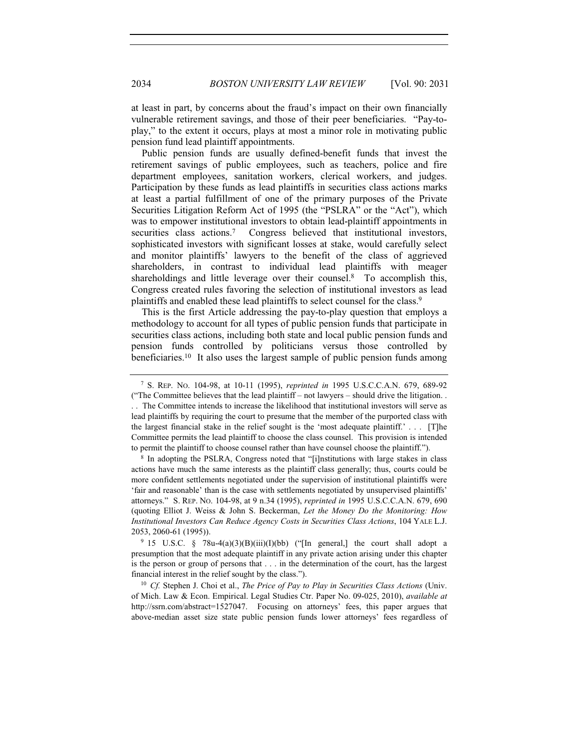at least in part, by concerns about the fraud's impact on their own financially vulnerable retirement savings, and those of their peer beneficiaries. "Pay-toplay," to the extent it occurs, plays at most a minor role in motivating public pension fund lead plaintiff appointments.

Public pension funds are usually defined-benefit funds that invest the retirement savings of public employees, such as teachers, police and fire department employees, sanitation workers, clerical workers, and judges. Participation by these funds as lead plaintiffs in securities class actions marks at least a partial fulfillment of one of the primary purposes of the Private Securities Litigation Reform Act of 1995 (the "PSLRA" or the "Act"), which was to empower institutional investors to obtain lead-plaintiff appointments in securities class actions.<sup>7</sup> Congress believed that institutional investors, sophisticated investors with significant losses at stake, would carefully select and monitor plaintiffs' lawyers to the benefit of the class of aggrieved shareholders, in contrast to individual lead plaintiffs with meager shareholdings and little leverage over their counsel. $8$  To accomplish this, Congress created rules favoring the selection of institutional investors as lead plaintiffs and enabled these lead plaintiffs to select counsel for the class.<sup>9</sup>

This is the first Article addressing the pay-to-play question that employs a methodology to account for all types of public pension funds that participate in securities class actions, including both state and local public pension funds and pension funds controlled by politicians versus those controlled by beneficiaries.10 It also uses the largest sample of public pension funds among

<sup>7</sup> S. REP. NO. 104-98, at 10-11 (1995), *reprinted in* 1995 U.S.C.C.A.N. 679, 689-92 ("The Committee believes that the lead plaintiff – not lawyers – should drive the litigation. . . . The Committee intends to increase the likelihood that institutional investors will serve as lead plaintiffs by requiring the court to presume that the member of the purported class with the largest financial stake in the relief sought is the 'most adequate plaintiff.' . . . [T]he Committee permits the lead plaintiff to choose the class counsel. This provision is intended to permit the plaintiff to choose counsel rather than have counsel choose the plaintiff.").

<sup>8</sup> In adopting the PSLRA, Congress noted that "[i]nstitutions with large stakes in class actions have much the same interests as the plaintiff class generally; thus, courts could be more confident settlements negotiated under the supervision of institutional plaintiffs were 'fair and reasonable' than is the case with settlements negotiated by unsupervised plaintiffs' attorneys." S. REP. NO. 104-98, at 9 n.34 (1995), *reprinted in* 1995 U.S.C.C.A.N. 679, 690 (quoting Elliot J. Weiss & John S. Beckerman, *Let the Money Do the Monitoring: How Institutional Investors Can Reduce Agency Costs in Securities Class Actions*, 104 YALE L.J. 2053, 2060-61 (1995)).<br><sup>9</sup> 15 U.S.C. § 78u-4(a)(3)(B)(iii)(I)(bb) ("[In general,] the court shall adopt a

presumption that the most adequate plaintiff in any private action arising under this chapter is the person or group of persons that . . . in the determination of the court, has the largest financial interest in the relief sought by the class."). 10 *Cf.* Stephen J. Choi et al., *The Price of Pay to Play in Securities Class Actions* (Univ.

of Mich. Law & Econ. Empirical. Legal Studies Ctr. Paper No. 09-025, 2010), *available at* http://ssrn.com/abstract=1527047. Focusing on attorneys' fees, this paper argues that above-median asset size state public pension funds lower attorneys' fees regardless of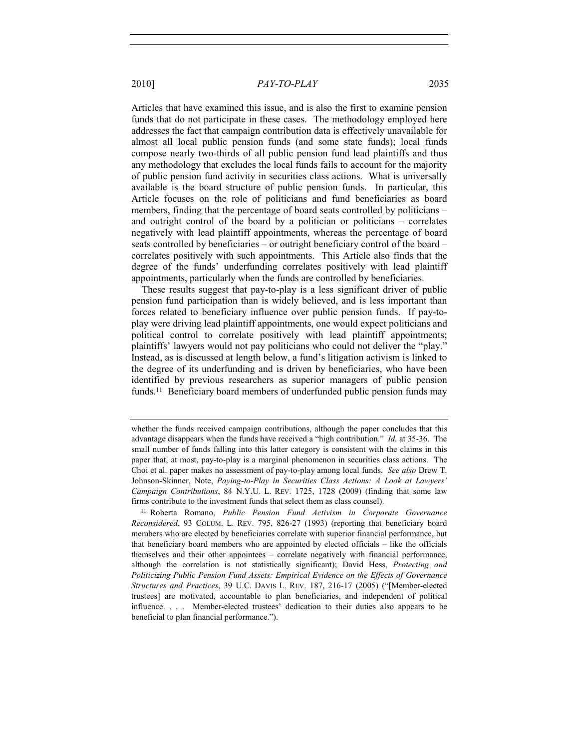Articles that have examined this issue, and is also the first to examine pension funds that do not participate in these cases. The methodology employed here addresses the fact that campaign contribution data is effectively unavailable for almost all local public pension funds (and some state funds); local funds compose nearly two-thirds of all public pension fund lead plaintiffs and thus any methodology that excludes the local funds fails to account for the majority of public pension fund activity in securities class actions. What is universally available is the board structure of public pension funds. In particular, this Article focuses on the role of politicians and fund beneficiaries as board members, finding that the percentage of board seats controlled by politicians – and outright control of the board by a politician or politicians – correlates negatively with lead plaintiff appointments, whereas the percentage of board seats controlled by beneficiaries – or outright beneficiary control of the board – correlates positively with such appointments. This Article also finds that the degree of the funds' underfunding correlates positively with lead plaintiff appointments, particularly when the funds are controlled by beneficiaries.

These results suggest that pay-to-play is a less significant driver of public pension fund participation than is widely believed, and is less important than forces related to beneficiary influence over public pension funds. If pay-toplay were driving lead plaintiff appointments, one would expect politicians and political control to correlate positively with lead plaintiff appointments; plaintiffs' lawyers would not pay politicians who could not deliver the "play." Instead, as is discussed at length below, a fund's litigation activism is linked to the degree of its underfunding and is driven by beneficiaries, who have been identified by previous researchers as superior managers of public pension funds.<sup>11</sup> Beneficiary board members of underfunded public pension funds may

whether the funds received campaign contributions, although the paper concludes that this advantage disappears when the funds have received a "high contribution." *Id.* at 35-36. The small number of funds falling into this latter category is consistent with the claims in this paper that, at most, pay-to-play is a marginal phenomenon in securities class actions. The Choi et al. paper makes no assessment of pay-to-play among local funds. *See also* Drew T. Johnson-Skinner, Note, *Paying-to-Play in Securities Class Actions: A Look at Lawyers' Campaign Contributions*, 84 N.Y.U. L. REV. 1725, 1728 (2009) (finding that some law firms contribute to the investment funds that select them as class counsel).

<sup>11</sup> Roberta Romano, *Public Pension Fund Activism in Corporate Governance Reconsidered*, 93 COLUM. L. REV. 795, 826-27 (1993) (reporting that beneficiary board members who are elected by beneficiaries correlate with superior financial performance, but that beneficiary board members who are appointed by elected officials – like the officials themselves and their other appointees – correlate negatively with financial performance, although the correlation is not statistically significant); David Hess, *Protecting and Politicizing Public Pension Fund Assets: Empirical Evidence on the Effects of Governance Structures and Practices*, 39 U.C. DAVIS L. REV. 187, 216-17 (2005) ("[Member-elected trustees] are motivated, accountable to plan beneficiaries, and independent of political influence. . . . Member-elected trustees' dedication to their duties also appears to be beneficial to plan financial performance.").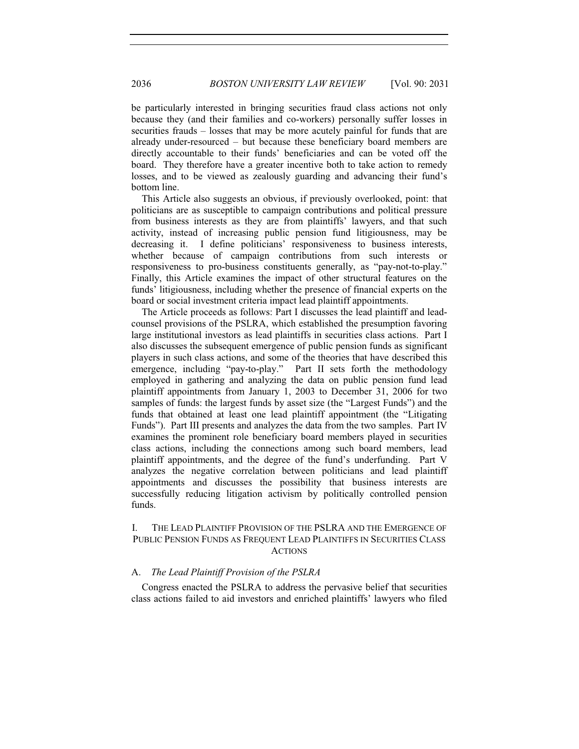be particularly interested in bringing securities fraud class actions not only because they (and their families and co-workers) personally suffer losses in securities frauds – losses that may be more acutely painful for funds that are already under-resourced – but because these beneficiary board members are directly accountable to their funds' beneficiaries and can be voted off the board. They therefore have a greater incentive both to take action to remedy losses, and to be viewed as zealously guarding and advancing their fund's bottom line.

This Article also suggests an obvious, if previously overlooked, point: that politicians are as susceptible to campaign contributions and political pressure from business interests as they are from plaintiffs' lawyers, and that such activity, instead of increasing public pension fund litigiousness, may be decreasing it. I define politicians' responsiveness to business interests, whether because of campaign contributions from such interests or responsiveness to pro-business constituents generally, as "pay-not-to-play." Finally, this Article examines the impact of other structural features on the funds' litigiousness, including whether the presence of financial experts on the board or social investment criteria impact lead plaintiff appointments.

The Article proceeds as follows: Part I discusses the lead plaintiff and leadcounsel provisions of the PSLRA, which established the presumption favoring large institutional investors as lead plaintiffs in securities class actions. Part I also discusses the subsequent emergence of public pension funds as significant players in such class actions, and some of the theories that have described this emergence, including "pay-to-play." Part II sets forth the methodology employed in gathering and analyzing the data on public pension fund lead plaintiff appointments from January 1, 2003 to December 31, 2006 for two samples of funds: the largest funds by asset size (the "Largest Funds") and the funds that obtained at least one lead plaintiff appointment (the "Litigating Funds"). Part III presents and analyzes the data from the two samples. Part IV examines the prominent role beneficiary board members played in securities class actions, including the connections among such board members, lead plaintiff appointments, and the degree of the fund's underfunding. Part V analyzes the negative correlation between politicians and lead plaintiff appointments and discusses the possibility that business interests are successfully reducing litigation activism by politically controlled pension funds.

#### I. THE LEAD PLAINTIFF PROVISION OF THE PSLRA AND THE EMERGENCE OF PUBLIC PENSION FUNDS AS FREQUENT LEAD PLAINTIFFS IN SECURITIES CLASS ACTIONS

#### A. *The Lead Plaintiff Provision of the PSLRA*

Congress enacted the PSLRA to address the pervasive belief that securities class actions failed to aid investors and enriched plaintiffs' lawyers who filed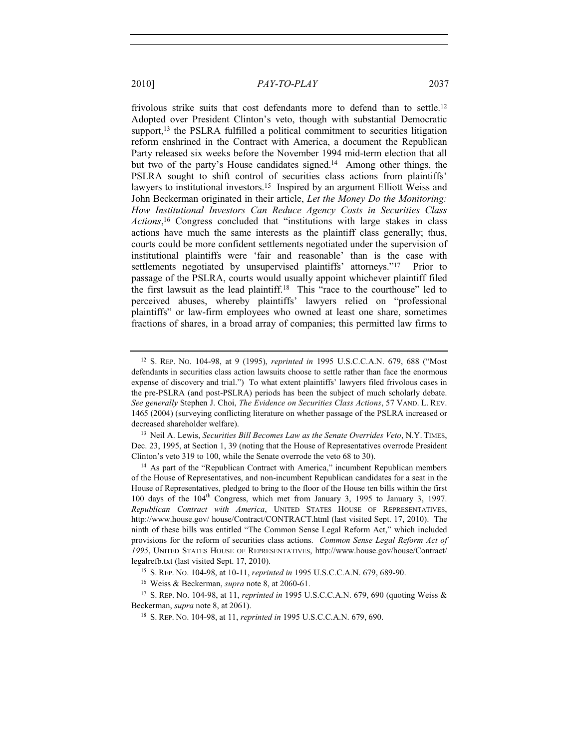frivolous strike suits that cost defendants more to defend than to settle.<sup>12</sup>

Adopted over President Clinton's veto, though with substantial Democratic support, $13$  the PSLRA fulfilled a political commitment to securities litigation reform enshrined in the Contract with America, a document the Republican Party released six weeks before the November 1994 mid-term election that all but two of the party's House candidates signed.<sup>14</sup> Among other things, the PSLRA sought to shift control of securities class actions from plaintiffs' lawyers to institutional investors.15 Inspired by an argument Elliott Weiss and John Beckerman originated in their article, *Let the Money Do the Monitoring: How Institutional Investors Can Reduce Agency Costs in Securities Class Actions*, 16 Congress concluded that "institutions with large stakes in class actions have much the same interests as the plaintiff class generally; thus, courts could be more confident settlements negotiated under the supervision of institutional plaintiffs were 'fair and reasonable' than is the case with settlements negotiated by unsupervised plaintiffs' attorneys."<sup>17</sup> Prior to passage of the PSLRA, courts would usually appoint whichever plaintiff filed the first lawsuit as the lead plaintiff.18 This "race to the courthouse" led to perceived abuses, whereby plaintiffs' lawyers relied on "professional plaintiffs" or law-firm employees who owned at least one share, sometimes fractions of shares, in a broad array of companies; this permitted law firms to

<sup>12</sup> S. REP. NO. 104-98, at 9 (1995), *reprinted in* 1995 U.S.C.C.A.N. 679, 688 ("Most defendants in securities class action lawsuits choose to settle rather than face the enormous expense of discovery and trial.") To what extent plaintiffs' lawyers filed frivolous cases in the pre-PSLRA (and post-PSLRA) periods has been the subject of much scholarly debate. *See generally* Stephen J. Choi, *The Evidence on Securities Class Actions*, 57 VAND. L. REV. 1465 (2004) (surveying conflicting literature on whether passage of the PSLRA increased or

decreased shareholder welfare). 13 Neil A. Lewis, *Securities Bill Becomes Law as the Senate Overrides Veto*, N.Y. TIMES, Dec. 23, 1995, at Section 1, 39 (noting that the House of Representatives overrode President Clinton's veto 319 to 100, while the Senate overrode the veto 68 to 30).

<sup>&</sup>lt;sup>14</sup> As part of the "Republican Contract with America," incumbent Republican members of the House of Representatives, and non-incumbent Republican candidates for a seat in the House of Representatives, pledged to bring to the floor of the House ten bills within the first 100 days of the  $104<sup>th</sup>$  Congress, which met from January 3, 1995 to January 3, 1997. *Republican Contract with America*, UNITED STATES HOUSE OF REPRESENTATIVES, http://www.house.gov/ house/Contract/CONTRACT.html (last visited Sept. 17, 2010). The ninth of these bills was entitled "The Common Sense Legal Reform Act," which included provisions for the reform of securities class actions. *Common Sense Legal Reform Act of 1995*, UNITED STATES HOUSE OF REPRESENTATIVES, http://www.house.gov/house/Contract/ legalrefb.txt (last visited Sept. 17, 2010).

<sup>15</sup> S. REP. NO. 104-98, at 10-11, *reprinted in* 1995 U.S.C.C.A.N. 679, 689-90.

<sup>16</sup> Weiss & Beckerman, *supra* note 8, at 2060-61.

<sup>17</sup> S. REP. NO. 104-98, at 11, *reprinted in* 1995 U.S.C.C.A.N. 679, 690 (quoting Weiss & Beckerman, *supra* note 8, at 2061).

<sup>18</sup> S. REP. NO. 104-98, at 11, *reprinted in* 1995 U.S.C.C.A.N. 679, 690.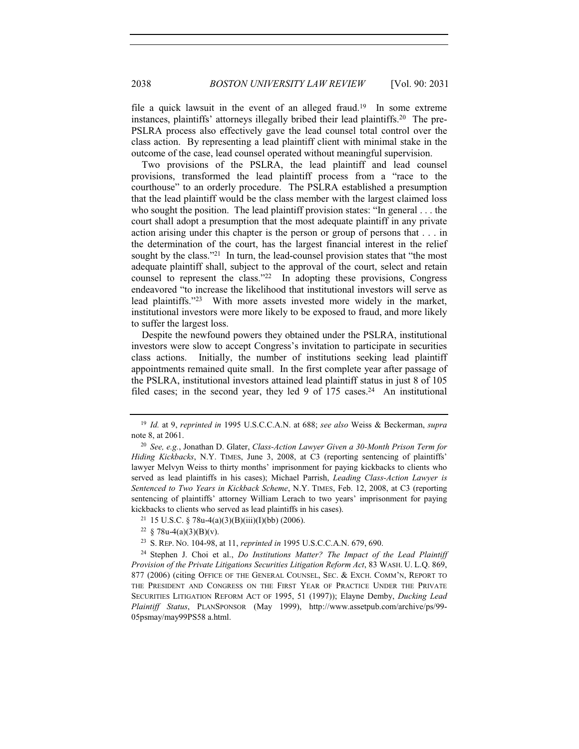2038 *BOSTON UNIVERSITY LAW REVIEW* [Vol. 90: 2031

file a quick lawsuit in the event of an alleged fraud.<sup>19</sup> In some extreme instances, plaintiffs' attorneys illegally bribed their lead plaintiffs.20 The pre-PSLRA process also effectively gave the lead counsel total control over the class action. By representing a lead plaintiff client with minimal stake in the outcome of the case, lead counsel operated without meaningful supervision.

Two provisions of the PSLRA, the lead plaintiff and lead counsel provisions, transformed the lead plaintiff process from a "race to the courthouse" to an orderly procedure. The PSLRA established a presumption that the lead plaintiff would be the class member with the largest claimed loss who sought the position. The lead plaintiff provision states: "In general . . . the court shall adopt a presumption that the most adequate plaintiff in any private action arising under this chapter is the person or group of persons that . . . in the determination of the court, has the largest financial interest in the relief sought by the class."<sup>21</sup> In turn, the lead-counsel provision states that "the most adequate plaintiff shall, subject to the approval of the court, select and retain counsel to represent the class."22 In adopting these provisions, Congress endeavored "to increase the likelihood that institutional investors will serve as lead plaintiffs."23 With more assets invested more widely in the market, institutional investors were more likely to be exposed to fraud, and more likely to suffer the largest loss.

Despite the newfound powers they obtained under the PSLRA, institutional investors were slow to accept Congress's invitation to participate in securities class actions. Initially, the number of institutions seeking lead plaintiff appointments remained quite small. In the first complete year after passage of the PSLRA, institutional investors attained lead plaintiff status in just 8 of 105 filed cases; in the second year, they led 9 of  $175$  cases.<sup>24</sup> An institutional

<sup>19</sup> *Id.* at 9, *reprinted in* 1995 U.S.C.C.A.N. at 688; *see also* Weiss & Beckerman, *supra* note 8, at 2061.

<sup>20</sup> *See, e.g.*, Jonathan D. Glater, *Class-Action Lawyer Given a 30-Month Prison Term for Hiding Kickbacks*, N.Y. TIMES, June 3, 2008, at C3 (reporting sentencing of plaintiffs' lawyer Melvyn Weiss to thirty months' imprisonment for paying kickbacks to clients who served as lead plaintiffs in his cases); Michael Parrish, *Leading Class-Action Lawyer is Sentenced to Two Years in Kickback Scheme*, N.Y. TIMES, Feb. 12, 2008, at C3 (reporting sentencing of plaintiffs' attorney William Lerach to two years' imprisonment for paying kickbacks to clients who served as lead plaintiffs in his cases).<br><sup>21</sup> 15 U.S.C. § 78u-4(a)(3)(B)(iii)(I)(bb) (2006).<br><sup>22</sup> § 78u-4(a)(3)(B)(v).

<sup>23</sup> S. REP. NO. 104-98, at 11, *reprinted in* 1995 U.S.C.C.A.N. 679, 690.

<sup>24</sup> Stephen J. Choi et al., *Do Institutions Matter? The Impact of the Lead Plaintiff Provision of the Private Litigations Securities Litigation Reform Act*, 83 WASH. U. L.Q. 869, 877 (2006) (citing OFFICE OF THE GENERAL COUNSEL, SEC.&EXCH. COMM'N, REPORT TO THE PRESIDENT AND CONGRESS ON THE FIRST YEAR OF PRACTICE UNDER THE PRIVATE SECURITIES LITIGATION REFORM ACT OF 1995, 51 (1997)); Elayne Demby, *Ducking Lead Plaintiff Status*, PLANSPONSOR (May 1999), http://www.assetpub.com/archive/ps/99- 05psmay/may99PS58 a.html.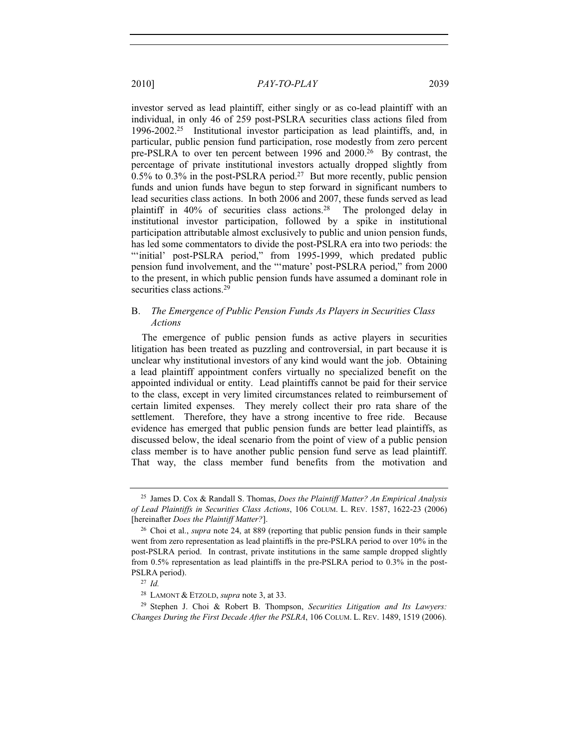investor served as lead plaintiff, either singly or as co-lead plaintiff with an individual, in only 46 of 259 post-PSLRA securities class actions filed from 1996-2002.25 Institutional investor participation as lead plaintiffs, and, in particular, public pension fund participation, rose modestly from zero percent pre-PSLRA to over ten percent between 1996 and 2000.26 By contrast, the percentage of private institutional investors actually dropped slightly from  $0.5\%$  to  $0.3\%$  in the post-PSLRA period.<sup>27</sup> But more recently, public pension funds and union funds have begun to step forward in significant numbers to lead securities class actions. In both 2006 and 2007, these funds served as lead plaintiff in 40% of securities class actions.28 The prolonged delay in institutional investor participation, followed by a spike in institutional participation attributable almost exclusively to public and union pension funds, has led some commentators to divide the post-PSLRA era into two periods: the "initial' post-PSLRA period," from 1995-1999, which predated public pension fund involvement, and the "'mature' post-PSLRA period," from 2000 to the present, in which public pension funds have assumed a dominant role in securities class actions.<sup>29</sup>

#### B. *The Emergence of Public Pension Funds As Players in Securities Class Actions*

The emergence of public pension funds as active players in securities litigation has been treated as puzzling and controversial, in part because it is unclear why institutional investors of any kind would want the job. Obtaining a lead plaintiff appointment confers virtually no specialized benefit on the appointed individual or entity. Lead plaintiffs cannot be paid for their service to the class, except in very limited circumstances related to reimbursement of certain limited expenses. They merely collect their pro rata share of the settlement. Therefore, they have a strong incentive to free ride. Because evidence has emerged that public pension funds are better lead plaintiffs, as discussed below, the ideal scenario from the point of view of a public pension class member is to have another public pension fund serve as lead plaintiff. That way, the class member fund benefits from the motivation and

<sup>25</sup> James D. Cox & Randall S. Thomas, *Does the Plaintiff Matter? An Empirical Analysis of Lead Plaintiffs in Securities Class Actions*, 106 COLUM. L. REV. 1587, 1622-23 (2006) [hereinafter *Does the Plaintiff Matter?*].

<sup>26</sup> Choi et al., *supra* note 24, at 889 (reporting that public pension funds in their sample went from zero representation as lead plaintiffs in the pre-PSLRA period to over 10% in the post-PSLRA period. In contrast, private institutions in the same sample dropped slightly from 0.5% representation as lead plaintiffs in the pre-PSLRA period to 0.3% in the post-PSLRA period).

<sup>27</sup> *Id.*

<sup>28</sup> LAMONT & ETZOLD, *supra* note 3, at 33.

<sup>29</sup> Stephen J. Choi & Robert B. Thompson, *Securities Litigation and Its Lawyers: Changes During the First Decade After the PSLRA*, 106 COLUM. L. REV. 1489, 1519 (2006).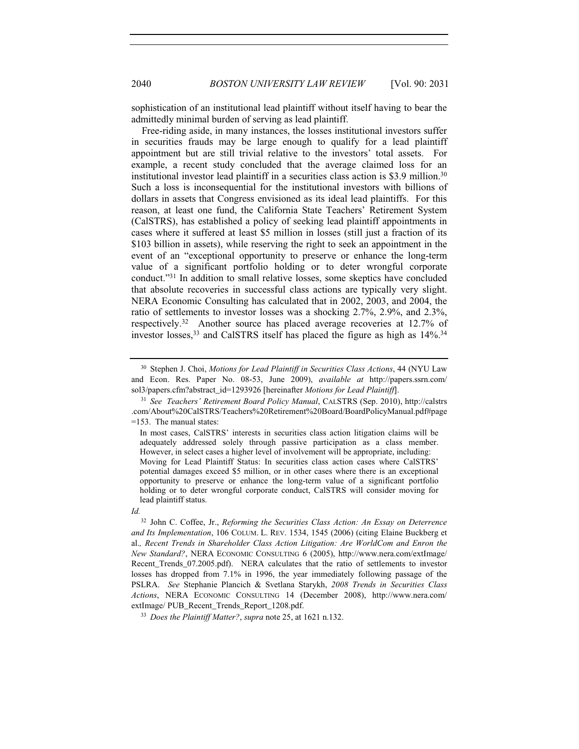sophistication of an institutional lead plaintiff without itself having to bear the admittedly minimal burden of serving as lead plaintiff.

Free-riding aside, in many instances, the losses institutional investors suffer in securities frauds may be large enough to qualify for a lead plaintiff appointment but are still trivial relative to the investors' total assets. For example, a recent study concluded that the average claimed loss for an institutional investor lead plaintiff in a securities class action is \$3.9 million.30 Such a loss is inconsequential for the institutional investors with billions of dollars in assets that Congress envisioned as its ideal lead plaintiffs. For this reason, at least one fund, the California State Teachers' Retirement System (CalSTRS), has established a policy of seeking lead plaintiff appointments in cases where it suffered at least \$5 million in losses (still just a fraction of its \$103 billion in assets), while reserving the right to seek an appointment in the event of an "exceptional opportunity to preserve or enhance the long-term value of a significant portfolio holding or to deter wrongful corporate conduct."31 In addition to small relative losses, some skeptics have concluded that absolute recoveries in successful class actions are typically very slight. NERA Economic Consulting has calculated that in 2002, 2003, and 2004, the ratio of settlements to investor losses was a shocking 2.7%, 2.9%, and 2.3%, respectively.32 Another source has placed average recoveries at 12.7% of investor losses,<sup>33</sup> and CalSTRS itself has placed the figure as high as  $14\%$ <sup>34</sup>

<sup>30</sup> Stephen J. Choi, *Motions for Lead Plaintiff in Securities Class Actions*, 44 (NYU Law and Econ. Res. Paper No. 08-53, June 2009), *available at* http://papers.ssrn.com/ sol3/papers.cfm?abstract\_id=1293926 [hereinafter *Motions for Lead Plaintiff*].

<sup>31</sup> *See Teachers' Retirement Board Policy Manual*, CALSTRS (Sep. 2010), http://calstrs .com/About%20CalSTRS/Teachers%20Retirement%20Board/BoardPolicyManual.pdf#page =153. The manual states:

In most cases, CalSTRS' interests in securities class action litigation claims will be adequately addressed solely through passive participation as a class member. However, in select cases a higher level of involvement will be appropriate, including: Moving for Lead Plaintiff Status: In securities class action cases where CalSTRS' potential damages exceed \$5 million, or in other cases where there is an exceptional opportunity to preserve or enhance the long-term value of a significant portfolio holding or to deter wrongful corporate conduct, CalSTRS will consider moving for lead plaintiff status.

*Id.*

<sup>32</sup> John C. Coffee, Jr., *Reforming the Securities Class Action: An Essay on Deterrence and Its Implementation*, 106 COLUM. L. REV. 1534, 1545 (2006) (citing Elaine Buckberg et al.*, Recent Trends in Shareholder Class Action Litigation: Are WorldCom and Enron the New Standard?*, NERA ECONOMIC CONSULTING 6 (2005), http://www.nera.com/extImage/ Recent Trends 07.2005.pdf). NERA calculates that the ratio of settlements to investor losses has dropped from 7.1% in 1996, the year immediately following passage of the PSLRA. *See* Stephanie Plancich & Svetlana Starykh, *2008 Trends in Securities Class Actions*, NERA ECONOMIC CONSULTING 14 (December 2008), http://www.nera.com/ extImage/ PUB\_Recent\_Trends\_Report\_1208.pdf. 33 *Does the Plaintiff Matter?*, *supra* note 25, at 1621 n.132.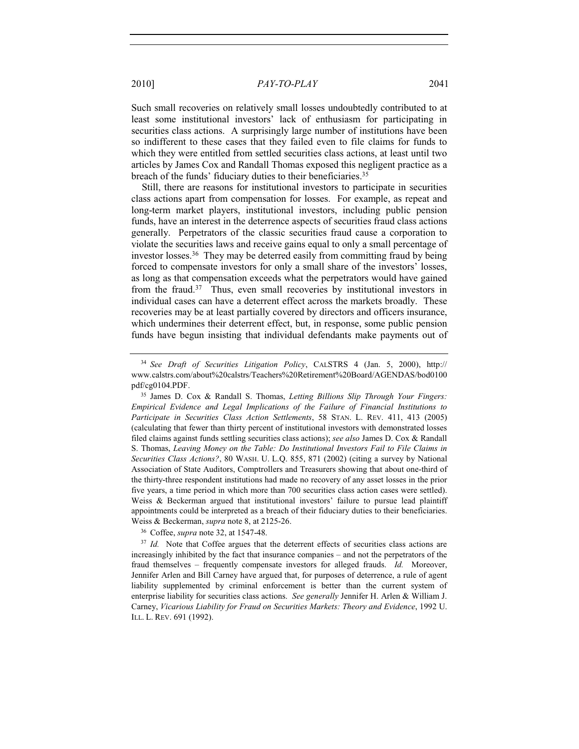Such small recoveries on relatively small losses undoubtedly contributed to at least some institutional investors' lack of enthusiasm for participating in securities class actions. A surprisingly large number of institutions have been so indifferent to these cases that they failed even to file claims for funds to which they were entitled from settled securities class actions, at least until two articles by James Cox and Randall Thomas exposed this negligent practice as a breach of the funds' fiduciary duties to their beneficiaries.35

Still, there are reasons for institutional investors to participate in securities class actions apart from compensation for losses. For example, as repeat and long-term market players, institutional investors, including public pension funds, have an interest in the deterrence aspects of securities fraud class actions generally. Perpetrators of the classic securities fraud cause a corporation to violate the securities laws and receive gains equal to only a small percentage of investor losses.36 They may be deterred easily from committing fraud by being forced to compensate investors for only a small share of the investors' losses, as long as that compensation exceeds what the perpetrators would have gained from the fraud.37 Thus, even small recoveries by institutional investors in individual cases can have a deterrent effect across the markets broadly. These recoveries may be at least partially covered by directors and officers insurance, which undermines their deterrent effect, but, in response, some public pension funds have begun insisting that individual defendants make payments out of

<sup>36</sup> Coffee, *supra* note 32, at 1547-48.

<sup>34</sup> *See Draft of Securities Litigation Policy*, CALSTRS 4 (Jan. 5, 2000), http:// www.calstrs.com/about%20calstrs/Teachers%20Retirement%20Board/AGENDAS/bod0100 pdf/cg0104.PDF.

<sup>35</sup> James D. Cox & Randall S. Thomas, *Letting Billions Slip Through Your Fingers: Empirical Evidence and Legal Implications of the Failure of Financial Institutions to Participate in Securities Class Action Settlements*, 58 STAN. L. REV. 411, 413 (2005) (calculating that fewer than thirty percent of institutional investors with demonstrated losses filed claims against funds settling securities class actions); *see also* James D. Cox & Randall S. Thomas, *Leaving Money on the Table: Do Institutional Investors Fail to File Claims in Securities Class Actions?*, 80 WASH. U. L.Q. 855, 871 (2002) (citing a survey by National Association of State Auditors, Comptrollers and Treasurers showing that about one-third of the thirty-three respondent institutions had made no recovery of any asset losses in the prior five years, a time period in which more than 700 securities class action cases were settled). Weiss & Beckerman argued that institutional investors' failure to pursue lead plaintiff appointments could be interpreted as a breach of their fiduciary duties to their beneficiaries. Weiss & Beckerman, *supra* note 8, at 2125-26.

<sup>&</sup>lt;sup>37</sup> *Id.* Note that Coffee argues that the deterrent effects of securities class actions are increasingly inhibited by the fact that insurance companies – and not the perpetrators of the fraud themselves – frequently compensate investors for alleged frauds. *Id.* Moreover, Jennifer Arlen and Bill Carney have argued that, for purposes of deterrence, a rule of agent liability supplemented by criminal enforcement is better than the current system of enterprise liability for securities class actions. *See generally* Jennifer H. Arlen & William J. Carney, *Vicarious Liability for Fraud on Securities Markets: Theory and Evidence*, 1992 U. ILL. L. REV. 691 (1992).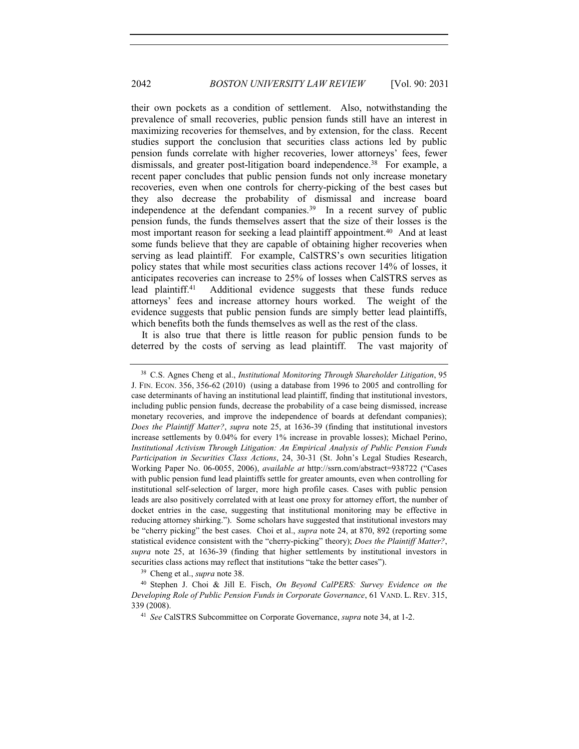their own pockets as a condition of settlement. Also, notwithstanding the prevalence of small recoveries, public pension funds still have an interest in maximizing recoveries for themselves, and by extension, for the class. Recent studies support the conclusion that securities class actions led by public pension funds correlate with higher recoveries, lower attorneys' fees, fewer dismissals, and greater post-litigation board independence.38 For example, a recent paper concludes that public pension funds not only increase monetary recoveries, even when one controls for cherry-picking of the best cases but they also decrease the probability of dismissal and increase board independence at the defendant companies.<sup>39</sup> In a recent survey of public pension funds, the funds themselves assert that the size of their losses is the most important reason for seeking a lead plaintiff appointment.40 And at least some funds believe that they are capable of obtaining higher recoveries when serving as lead plaintiff. For example, CalSTRS's own securities litigation policy states that while most securities class actions recover 14% of losses, it anticipates recoveries can increase to 25% of losses when CalSTRS serves as lead plaintiff.41 Additional evidence suggests that these funds reduce attorneys' fees and increase attorney hours worked. The weight of the evidence suggests that public pension funds are simply better lead plaintiffs, which benefits both the funds themselves as well as the rest of the class.

It is also true that there is little reason for public pension funds to be deterred by the costs of serving as lead plaintiff. The vast majority of

<sup>39</sup> Cheng et al., *supra* note 38.

<sup>40</sup> Stephen J. Choi & Jill E. Fisch, *On Beyond CalPERS: Survey Evidence on the Developing Role of Public Pension Funds in Corporate Governance*, 61 VAND. L. REV. 315, 339 (2008). 41 *See* CalSTRS Subcommittee on Corporate Governance, *supra* note 34, at 1-2.

<sup>38</sup> C.S. Agnes Cheng et al., *Institutional Monitoring Through Shareholder Litigation*, 95 J. FIN. ECON. 356, 356-62 (2010) (using a database from 1996 to 2005 and controlling for case determinants of having an institutional lead plaintiff, finding that institutional investors, including public pension funds, decrease the probability of a case being dismissed, increase monetary recoveries, and improve the independence of boards at defendant companies); *Does the Plaintiff Matter?*, *supra* note 25, at 1636-39 (finding that institutional investors increase settlements by 0.04% for every 1% increase in provable losses); Michael Perino, *Institutional Activism Through Litigation: An Empirical Analysis of Public Pension Funds Participation in Securities Class Actions*, 24, 30-31 (St. John's Legal Studies Research, Working Paper No. 06-0055, 2006), *available at* http://ssrn.com/abstract=938722 ("Cases with public pension fund lead plaintiffs settle for greater amounts, even when controlling for institutional self-selection of larger, more high profile cases. Cases with public pension leads are also positively correlated with at least one proxy for attorney effort, the number of docket entries in the case, suggesting that institutional monitoring may be effective in reducing attorney shirking."). Some scholars have suggested that institutional investors may be "cherry picking" the best cases. Choi et al., *supra* note 24, at 870, 892 (reporting some statistical evidence consistent with the "cherry-picking" theory); *Does the Plaintiff Matter?*, *supra* note 25, at 1636-39 (finding that higher settlements by institutional investors in securities class actions may reflect that institutions "take the better cases").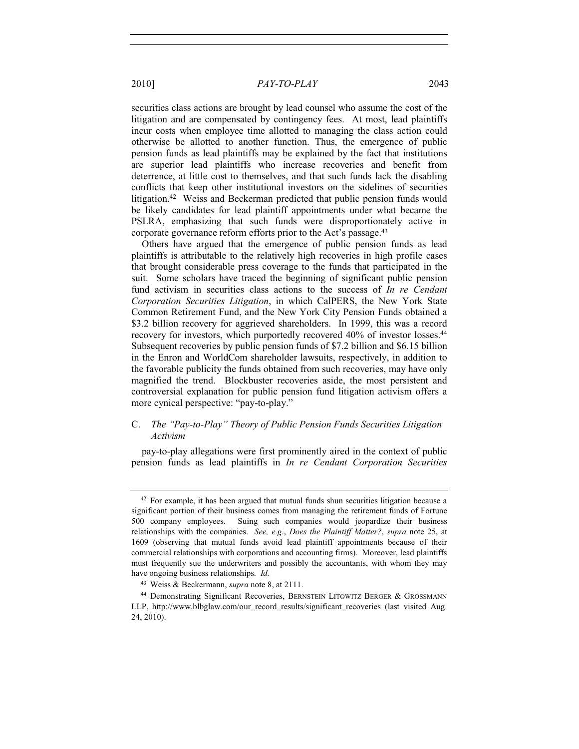securities class actions are brought by lead counsel who assume the cost of the litigation and are compensated by contingency fees. At most, lead plaintiffs incur costs when employee time allotted to managing the class action could otherwise be allotted to another function. Thus, the emergence of public pension funds as lead plaintiffs may be explained by the fact that institutions are superior lead plaintiffs who increase recoveries and benefit from deterrence, at little cost to themselves, and that such funds lack the disabling conflicts that keep other institutional investors on the sidelines of securities litigation.42 Weiss and Beckerman predicted that public pension funds would be likely candidates for lead plaintiff appointments under what became the PSLRA, emphasizing that such funds were disproportionately active in corporate governance reform efforts prior to the Act's passage.<sup>43</sup>

Others have argued that the emergence of public pension funds as lead plaintiffs is attributable to the relatively high recoveries in high profile cases that brought considerable press coverage to the funds that participated in the suit. Some scholars have traced the beginning of significant public pension fund activism in securities class actions to the success of *In re Cendant Corporation Securities Litigation*, in which CalPERS, the New York State Common Retirement Fund, and the New York City Pension Funds obtained a \$3.2 billion recovery for aggrieved shareholders. In 1999, this was a record recovery for investors, which purportedly recovered 40% of investor losses.44 Subsequent recoveries by public pension funds of \$7.2 billion and \$6.15 billion in the Enron and WorldCom shareholder lawsuits, respectively, in addition to the favorable publicity the funds obtained from such recoveries, may have only magnified the trend. Blockbuster recoveries aside, the most persistent and controversial explanation for public pension fund litigation activism offers a more cynical perspective: "pay-to-play."

#### C. *The "Pay-to-Play" Theory of Public Pension Funds Securities Litigation Activism*

pay-to-play allegations were first prominently aired in the context of public pension funds as lead plaintiffs in *In re Cendant Corporation Securities* 

<sup>&</sup>lt;sup>42</sup> For example, it has been argued that mutual funds shun securities litigation because a significant portion of their business comes from managing the retirement funds of Fortune 500 company employees. Suing such companies would jeopardize their business relationships with the companies. *See, e.g.*, *Does the Plaintiff Matter?*, *supra* note 25, at 1609 (observing that mutual funds avoid lead plaintiff appointments because of their commercial relationships with corporations and accounting firms). Moreover, lead plaintiffs must frequently sue the underwriters and possibly the accountants, with whom they may have ongoing business relationships. *Id.*

<sup>43</sup> Weiss & Beckermann, *supra* note 8, at 2111.

<sup>&</sup>lt;sup>44</sup> Demonstrating Significant Recoveries, BERNSTEIN LITOWITZ BERGER & GROSSMANN LLP, http://www.blbglaw.com/our\_record\_results/significant\_recoveries (last visited Aug. 24, 2010).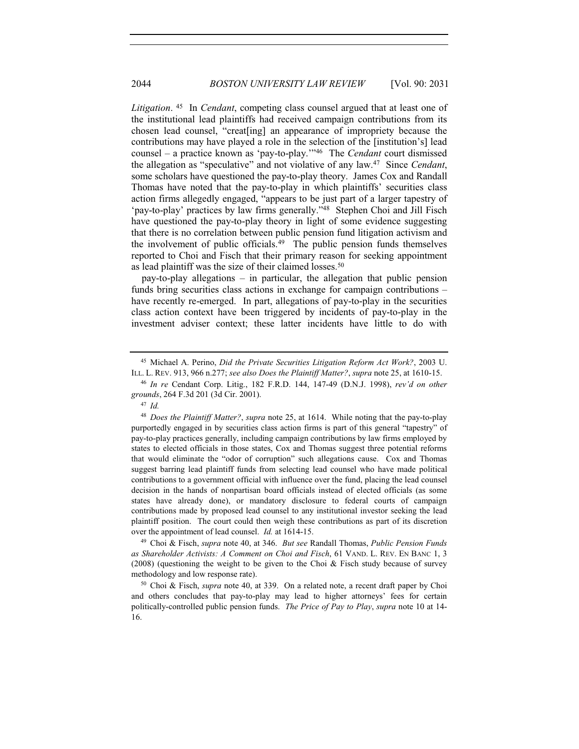*Litigation*. 45 In *Cendant*, competing class counsel argued that at least one of the institutional lead plaintiffs had received campaign contributions from its chosen lead counsel, "creat[ing] an appearance of impropriety because the contributions may have played a role in the selection of the [institution's] lead counsel – a practice known as 'pay-to-play.'"46 The *Cendant* court dismissed the allegation as "speculative" and not violative of any law.47 Since *Cendant*, some scholars have questioned the pay-to-play theory. James Cox and Randall Thomas have noted that the pay-to-play in which plaintiffs' securities class action firms allegedly engaged, "appears to be just part of a larger tapestry of 'pay-to-play' practices by law firms generally."48 Stephen Choi and Jill Fisch have questioned the pay-to-play theory in light of some evidence suggesting that there is no correlation between public pension fund litigation activism and the involvement of public officials.<sup>49</sup> The public pension funds themselves reported to Choi and Fisch that their primary reason for seeking appointment as lead plaintiff was the size of their claimed losses.50

pay-to-play allegations – in particular, the allegation that public pension funds bring securities class actions in exchange for campaign contributions – have recently re-emerged. In part, allegations of pay-to-play in the securities class action context have been triggered by incidents of pay-to-play in the investment adviser context; these latter incidents have little to do with

<sup>46</sup> *In re* Cendant Corp. Litig., 182 F.R.D. 144, 147-49 (D.N.J. 1998), *rev'd on other grounds*, 264 F.3d 201 (3d Cir. 2001).

<sup>48</sup> *Does the Plaintiff Matter?*, *supra* note 25, at 1614. While noting that the pay-to-play purportedly engaged in by securities class action firms is part of this general "tapestry" of pay-to-play practices generally, including campaign contributions by law firms employed by states to elected officials in those states, Cox and Thomas suggest three potential reforms that would eliminate the "odor of corruption" such allegations cause. Cox and Thomas suggest barring lead plaintiff funds from selecting lead counsel who have made political contributions to a government official with influence over the fund, placing the lead counsel decision in the hands of nonpartisan board officials instead of elected officials (as some states have already done), or mandatory disclosure to federal courts of campaign contributions made by proposed lead counsel to any institutional investor seeking the lead plaintiff position. The court could then weigh these contributions as part of its discretion over the appointment of lead counsel. *Id.* at 1614-15. 49 Choi & Fisch, *supra* note 40, at 346. *But see* Randall Thomas, *Public Pension Funds* 

*as Shareholder Activists: A Comment on Choi and Fisch*, 61 VAND. L. REV. EN BANC 1, 3 (2008) (questioning the weight to be given to the Choi & Fisch study because of survey methodology and low response rate).<br><sup>50</sup> Choi & Fisch, *supra* note 40, at 339. On a related note, a recent draft paper by Choi

and others concludes that pay-to-play may lead to higher attorneys' fees for certain politically-controlled public pension funds. *The Price of Pay to Play*, *supra* note 10 at 14- 16.

<sup>45</sup> Michael A. Perino, *Did the Private Securities Litigation Reform Act Work?*, 2003 U. ILL. L. REV. 913, 966 n.277; *see also Does the Plaintiff Matter?*, *supra* note 25, at 1610-15.

<sup>47</sup> *Id.*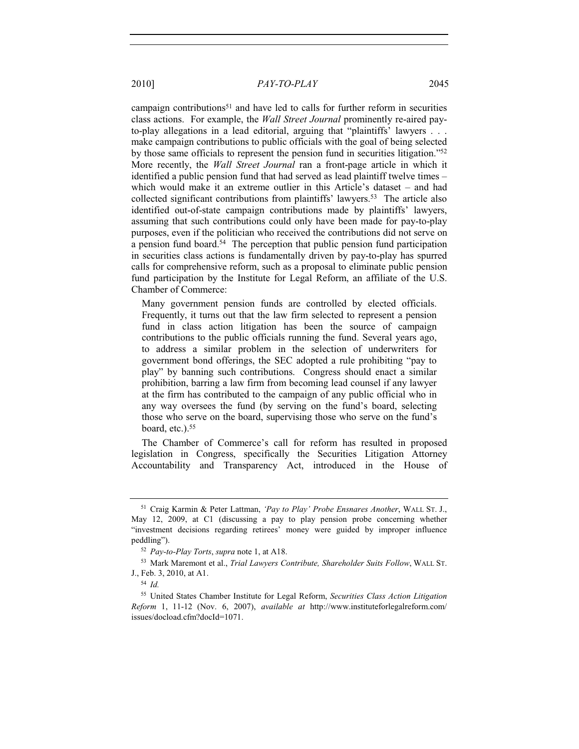campaign contributions<sup>51</sup> and have led to calls for further reform in securities class actions. For example, the *Wall Street Journal* prominently re-aired payto-play allegations in a lead editorial, arguing that "plaintiffs' lawyers . . . make campaign contributions to public officials with the goal of being selected

by those same officials to represent the pension fund in securities litigation."52 More recently, the *Wall Street Journal* ran a front-page article in which it identified a public pension fund that had served as lead plaintiff twelve times – which would make it an extreme outlier in this Article's dataset – and had collected significant contributions from plaintiffs' lawyers.53 The article also identified out-of-state campaign contributions made by plaintiffs' lawyers, assuming that such contributions could only have been made for pay-to-play purposes, even if the politician who received the contributions did not serve on a pension fund board.54 The perception that public pension fund participation in securities class actions is fundamentally driven by pay-to-play has spurred calls for comprehensive reform, such as a proposal to eliminate public pension fund participation by the Institute for Legal Reform, an affiliate of the U.S. Chamber of Commerce:

Many government pension funds are controlled by elected officials. Frequently, it turns out that the law firm selected to represent a pension fund in class action litigation has been the source of campaign contributions to the public officials running the fund. Several years ago, to address a similar problem in the selection of underwriters for government bond offerings, the SEC adopted a rule prohibiting "pay to play" by banning such contributions. Congress should enact a similar prohibition, barring a law firm from becoming lead counsel if any lawyer at the firm has contributed to the campaign of any public official who in any way oversees the fund (by serving on the fund's board, selecting those who serve on the board, supervising those who serve on the fund's board, etc.).55

The Chamber of Commerce's call for reform has resulted in proposed legislation in Congress, specifically the Securities Litigation Attorney Accountability and Transparency Act, introduced in the House of

<sup>51</sup> Craig Karmin & Peter Lattman, *'Pay to Play' Probe Ensnares Another*, WALL ST. J., May 12, 2009, at C1 (discussing a pay to play pension probe concerning whether "investment decisions regarding retirees' money were guided by improper influence peddling"). 52 *Pay-to-Play Torts*, *supra* note 1, at A18.

<sup>53</sup> Mark Maremont et al., *Trial Lawyers Contribute, Shareholder Suits Follow*, WALL ST. J., Feb. 3, 2010, at A1.

<sup>54</sup> *Id.*

<sup>55</sup> United States Chamber Institute for Legal Reform, *Securities Class Action Litigation Reform* 1, 11-12 (Nov. 6, 2007), *available at* http://www.instituteforlegalreform.com/ issues/docload.cfm?docId=1071.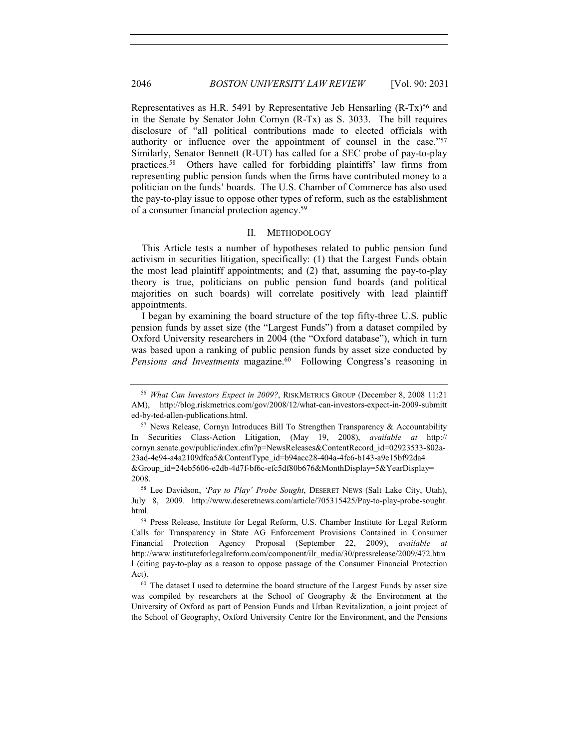Representatives as H.R. 5491 by Representative Jeb Hensarling (R-Tx)<sup>56</sup> and in the Senate by Senator John Cornyn (R-Tx) as S. 3033. The bill requires disclosure of "all political contributions made to elected officials with authority or influence over the appointment of counsel in the case."57 Similarly, Senator Bennett (R-UT) has called for a SEC probe of pay-to-play practices.58 Others have called for forbidding plaintiffs' law firms from representing public pension funds when the firms have contributed money to a politician on the funds' boards. The U.S. Chamber of Commerce has also used the pay-to-play issue to oppose other types of reform, such as the establishment of a consumer financial protection agency.59

#### II. METHODOLOGY

This Article tests a number of hypotheses related to public pension fund activism in securities litigation, specifically: (1) that the Largest Funds obtain the most lead plaintiff appointments; and (2) that, assuming the pay-to-play theory is true, politicians on public pension fund boards (and political majorities on such boards) will correlate positively with lead plaintiff appointments.

I began by examining the board structure of the top fifty-three U.S. public pension funds by asset size (the "Largest Funds") from a dataset compiled by Oxford University researchers in 2004 (the "Oxford database"), which in turn was based upon a ranking of public pension funds by asset size conducted by *Pensions and Investments* magazine.<sup>60</sup> Following Congress's reasoning in

<sup>56</sup> *What Can Investors Expect in 2009?*, RISKMETRICS GROUP (December 8, 2008 11:21 AM), http://blog.riskmetrics.com/gov/2008/12/what-can-investors-expect-in-2009-submitt ed-by-ted-allen-publications.html.

 $57$  News Release, Cornyn Introduces Bill To Strengthen Transparency & Accountability In Securities Class-Action Litigation, (May 19, 2008), *available at* http:// cornyn.senate.gov/public/index.cfm?p=NewsReleases&ContentRecord\_id=02923533-802a-23ad-4e94-a4a2109dfca5&ContentType\_id=b94acc28-404a-4fc6-b143-a9e15bf92da4 &Group\_id=24eb5606-e2db-4d7f-bf6c-efc5df80b676&MonthDisplay=5&YearDisplay= 2008.

<sup>58</sup> Lee Davidson, *'Pay to Play' Probe Sought*, DESERET NEWS (Salt Lake City, Utah), July 8, 2009. http://www.deseretnews.com/article/705315425/Pay-to-play-probe-sought. html.

<sup>59</sup> Press Release, Institute for Legal Reform, U.S. Chamber Institute for Legal Reform Calls for Transparency in State AG Enforcement Provisions Contained in Consumer Financial Protection Agency Proposal (September 22, 2009), *available at* http://www.instituteforlegalreform.com/component/ilr\_media/30/pressrelease/2009/472.htm l (citing pay-to-play as a reason to oppose passage of the Consumer Financial Protection Act).<br><sup>60</sup> The dataset I used to determine the board structure of the Largest Funds by asset size

was compiled by researchers at the School of Geography & the Environment at the University of Oxford as part of Pension Funds and Urban Revitalization, a joint project of the School of Geography, Oxford University Centre for the Environment, and the Pensions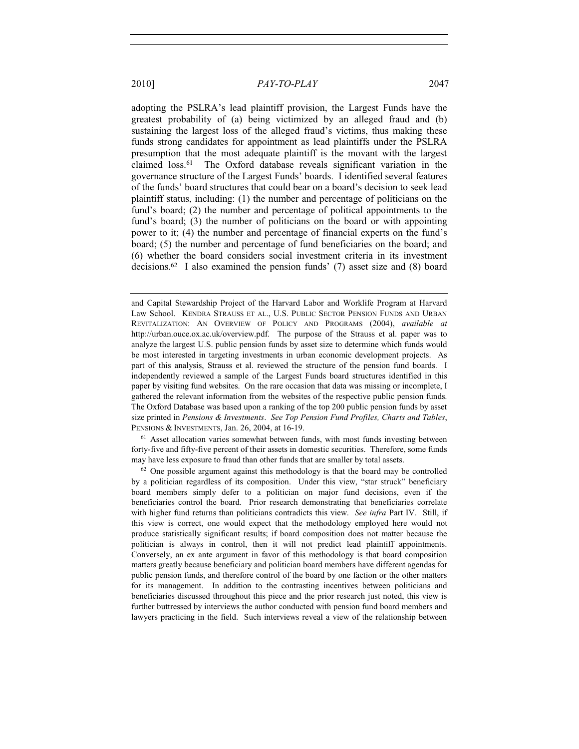adopting the PSLRA's lead plaintiff provision, the Largest Funds have the greatest probability of (a) being victimized by an alleged fraud and (b) sustaining the largest loss of the alleged fraud's victims, thus making these funds strong candidates for appointment as lead plaintiffs under the PSLRA presumption that the most adequate plaintiff is the movant with the largest claimed loss.61 The Oxford database reveals significant variation in the governance structure of the Largest Funds' boards. I identified several features of the funds' board structures that could bear on a board's decision to seek lead plaintiff status, including: (1) the number and percentage of politicians on the fund's board; (2) the number and percentage of political appointments to the fund's board; (3) the number of politicians on the board or with appointing power to it; (4) the number and percentage of financial experts on the fund's board; (5) the number and percentage of fund beneficiaries on the board; and (6) whether the board considers social investment criteria in its investment decisions.62 I also examined the pension funds' (7) asset size and (8) board

and Capital Stewardship Project of the Harvard Labor and Worklife Program at Harvard Law School. KENDRA STRAUSS ET AL., U.S. PUBLIC SECTOR PENSION FUNDS AND URBAN REVITALIZATION: AN OVERVIEW OF POLICY AND PROGRAMS (2004), *available at* http://urban.ouce.ox.ac.uk/overview.pdf. The purpose of the Strauss et al. paper was to analyze the largest U.S. public pension funds by asset size to determine which funds would be most interested in targeting investments in urban economic development projects. As part of this analysis, Strauss et al. reviewed the structure of the pension fund boards. I independently reviewed a sample of the Largest Funds board structures identified in this paper by visiting fund websites. On the rare occasion that data was missing or incomplete, I gathered the relevant information from the websites of the respective public pension funds. The Oxford Database was based upon a ranking of the top 200 public pension funds by asset size printed in *Pensions & Investments*. *See Top Pension Fund Profiles, Charts and Tables*, PENSIONS & INVESTMENTS, Jan. 26, 2004, at 16-19.

 $<sup>61</sup>$  Asset allocation varies somewhat between funds, with most funds investing between</sup> forty-five and fifty-five percent of their assets in domestic securities. Therefore, some funds may have less exposure to fraud than other funds that are smaller by total assets.

 $62$  One possible argument against this methodology is that the board may be controlled by a politician regardless of its composition. Under this view, "star struck" beneficiary board members simply defer to a politician on major fund decisions, even if the beneficiaries control the board. Prior research demonstrating that beneficiaries correlate with higher fund returns than politicians contradicts this view. *See infra* Part IV. Still, if this view is correct, one would expect that the methodology employed here would not produce statistically significant results; if board composition does not matter because the politician is always in control, then it will not predict lead plaintiff appointments. Conversely, an ex ante argument in favor of this methodology is that board composition matters greatly because beneficiary and politician board members have different agendas for public pension funds, and therefore control of the board by one faction or the other matters for its management. In addition to the contrasting incentives between politicians and beneficiaries discussed throughout this piece and the prior research just noted, this view is further buttressed by interviews the author conducted with pension fund board members and lawyers practicing in the field. Such interviews reveal a view of the relationship between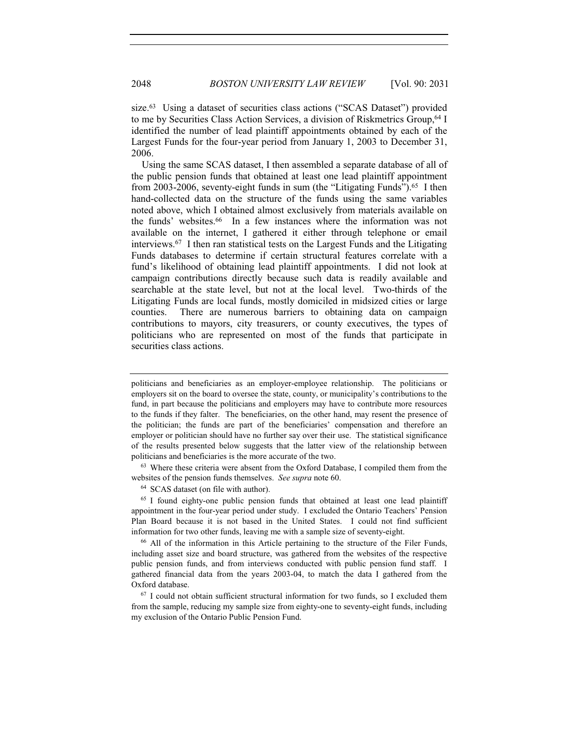size.<sup>63</sup> Using a dataset of securities class actions ("SCAS Dataset") provided to me by Securities Class Action Services, a division of Riskmetrics Group,<sup>64</sup> I identified the number of lead plaintiff appointments obtained by each of the Largest Funds for the four-year period from January 1, 2003 to December 31, 2006.

Using the same SCAS dataset, I then assembled a separate database of all of the public pension funds that obtained at least one lead plaintiff appointment from 2003-2006, seventy-eight funds in sum (the "Litigating Funds").<sup>65</sup> I then hand-collected data on the structure of the funds using the same variables noted above, which I obtained almost exclusively from materials available on the funds' websites.66 In a few instances where the information was not available on the internet, I gathered it either through telephone or email interviews.67 I then ran statistical tests on the Largest Funds and the Litigating Funds databases to determine if certain structural features correlate with a fund's likelihood of obtaining lead plaintiff appointments. I did not look at campaign contributions directly because such data is readily available and searchable at the state level, but not at the local level. Two-thirds of the Litigating Funds are local funds, mostly domiciled in midsized cities or large counties. There are numerous barriers to obtaining data on campaign contributions to mayors, city treasurers, or county executives, the types of politicians who are represented on most of the funds that participate in securities class actions.

<sup>63</sup> Where these criteria were absent from the Oxford Database, I compiled them from the websites of the pension funds themselves. *See supra* note 60.

<sup>64</sup> SCAS dataset (on file with author).<br><sup>65</sup> I found eighty-one public pension funds that obtained at least one lead plaintiff appointment in the four-year period under study. I excluded the Ontario Teachers' Pension Plan Board because it is not based in the United States. I could not find sufficient information for two other funds, leaving me with a sample size of seventy-eight.<br><sup>66</sup> All of the information in this Article pertaining to the structure of the Filer Funds,

including asset size and board structure, was gathered from the websites of the respective public pension funds, and from interviews conducted with public pension fund staff. I gathered financial data from the years 2003-04, to match the data I gathered from the Oxford database.

<sup>67</sup> I could not obtain sufficient structural information for two funds, so I excluded them from the sample, reducing my sample size from eighty-one to seventy-eight funds, including my exclusion of the Ontario Public Pension Fund.

politicians and beneficiaries as an employer-employee relationship. The politicians or employers sit on the board to oversee the state, county, or municipality's contributions to the fund, in part because the politicians and employers may have to contribute more resources to the funds if they falter. The beneficiaries, on the other hand, may resent the presence of the politician; the funds are part of the beneficiaries' compensation and therefore an employer or politician should have no further say over their use. The statistical significance of the results presented below suggests that the latter view of the relationship between politicians and beneficiaries is the more accurate of the two.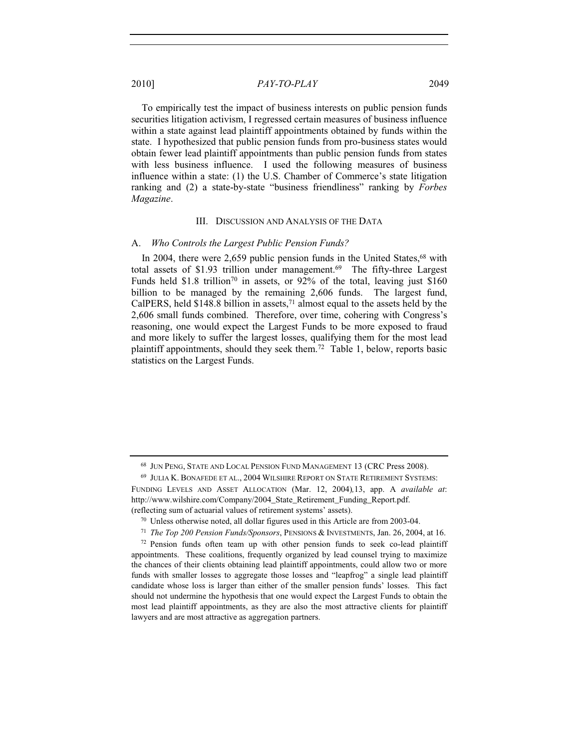To empirically test the impact of business interests on public pension funds securities litigation activism, I regressed certain measures of business influence within a state against lead plaintiff appointments obtained by funds within the state. I hypothesized that public pension funds from pro-business states would obtain fewer lead plaintiff appointments than public pension funds from states with less business influence. I used the following measures of business influence within a state: (1) the U.S. Chamber of Commerce's state litigation ranking and (2) a state-by-state "business friendliness" ranking by *Forbes Magazine*.

#### III. DISCUSSION AND ANALYSIS OF THE DATA

#### A. *Who Controls the Largest Public Pension Funds?*

In 2004, there were 2,659 public pension funds in the United States,  $68$  with total assets of \$1.93 trillion under management.<sup>69</sup> The fifty-three Largest Funds held \$1.8 trillion<sup>70</sup> in assets, or  $92\%$  of the total, leaving just \$160 billion to be managed by the remaining 2,606 funds. The largest fund, CalPERS, held  $$148.8$  billion in assets,<sup>71</sup> almost equal to the assets held by the 2,606 small funds combined. Therefore, over time, cohering with Congress's reasoning, one would expect the Largest Funds to be more exposed to fraud and more likely to suffer the largest losses, qualifying them for the most lead plaintiff appointments, should they seek them.72 Table 1, below, reports basic statistics on the Largest Funds.

<sup>68</sup> JUN PENG, STATE AND LOCAL PENSION FUND MANAGEMENT 13 (CRC Press 2008).

<sup>69</sup> JULIA K. BONAFEDE ET AL., 2004 WILSHIRE REPORT ON STATE RETIREMENT SYSTEMS: FUNDING LEVELS AND ASSET ALLOCATION (Mar. 12, 2004)*,*13, app. A *available at*: http://www.wilshire.com/Company/2004\_State\_Retirement\_Funding\_Report.pdf. (reflecting sum of actuarial values of retirement systems' assets).

<sup>70</sup> Unless otherwise noted, all dollar figures used in this Article are from 2003-04.

<sup>71</sup> *The Top 200 Pension Funds/Sponsors*, PENSIONS & INVESTMENTS, Jan. 26, 2004, at 16.

 $72$  Pension funds often team up with other pension funds to seek co-lead plaintiff appointments. These coalitions, frequently organized by lead counsel trying to maximize the chances of their clients obtaining lead plaintiff appointments, could allow two or more funds with smaller losses to aggregate those losses and "leapfrog" a single lead plaintiff candidate whose loss is larger than either of the smaller pension funds' losses. This fact should not undermine the hypothesis that one would expect the Largest Funds to obtain the most lead plaintiff appointments, as they are also the most attractive clients for plaintiff lawyers and are most attractive as aggregation partners.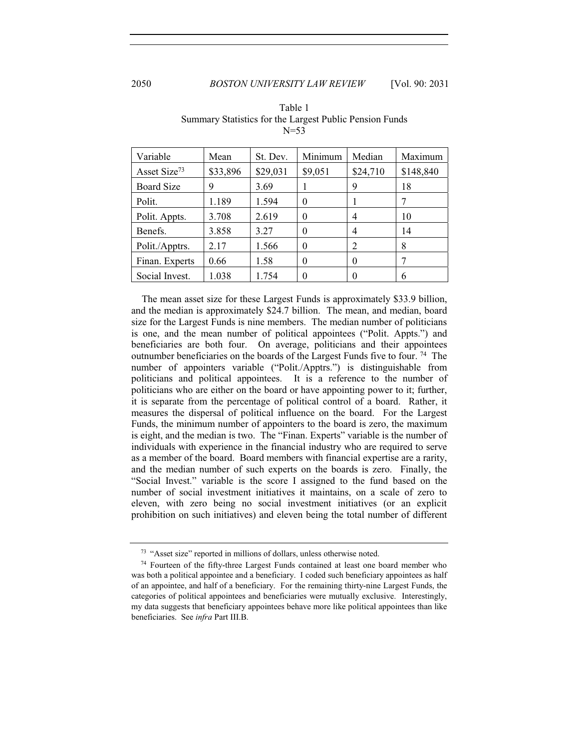| Variable                 | Mean     | St. Dev. | Minimum  | Median   | Maximum   |
|--------------------------|----------|----------|----------|----------|-----------|
| Asset Size <sup>73</sup> | \$33,896 | \$29,031 | \$9,051  | \$24,710 | \$148,840 |
| <b>Board Size</b>        | 9        | 3.69     |          | 9        | 18        |
| Polit.                   | 1.189    | 1.594    | 0        |          | 7         |
| Polit. Appts.            | 3.708    | 2.619    | 0        | 4        | 10        |
| Benefs.                  | 3.858    | 3.27     | $\theta$ | 4        | 14        |
| Polit./Apptrs.           | 2.17     | 1.566    | 0        | 2        | 8         |
| Finan. Experts           | 0.66     | 1.58     | $\theta$ | $\Omega$ | 7         |
| Social Invest.           | 1.038    | 1.754    |          | $\Omega$ | 6         |

Table 1 Summary Statistics for the Largest Public Pension Funds  $N=53$ 

The mean asset size for these Largest Funds is approximately \$33.9 billion, and the median is approximately \$24.7 billion. The mean, and median, board size for the Largest Funds is nine members. The median number of politicians is one, and the mean number of political appointees ("Polit. Appts.") and beneficiaries are both four. On average, politicians and their appointees outnumber beneficiaries on the boards of the Largest Funds five to four. 74 The number of appointers variable ("Polit./Apptrs.") is distinguishable from politicians and political appointees. It is a reference to the number of politicians who are either on the board or have appointing power to it; further, it is separate from the percentage of political control of a board. Rather, it measures the dispersal of political influence on the board. For the Largest Funds, the minimum number of appointers to the board is zero, the maximum is eight, and the median is two. The "Finan. Experts" variable is the number of individuals with experience in the financial industry who are required to serve as a member of the board. Board members with financial expertise are a rarity, and the median number of such experts on the boards is zero. Finally, the "Social Invest." variable is the score I assigned to the fund based on the number of social investment initiatives it maintains, on a scale of zero to eleven, with zero being no social investment initiatives (or an explicit prohibition on such initiatives) and eleven being the total number of different

<sup>73</sup> "Asset size" reported in millions of dollars, unless otherwise noted.

 $74$  Fourteen of the fifty-three Largest Funds contained at least one board member who was both a political appointee and a beneficiary. I coded such beneficiary appointees as half of an appointee, and half of a beneficiary. For the remaining thirty-nine Largest Funds, the categories of political appointees and beneficiaries were mutually exclusive. Interestingly, my data suggests that beneficiary appointees behave more like political appointees than like beneficiaries. See *infra* Part III.B.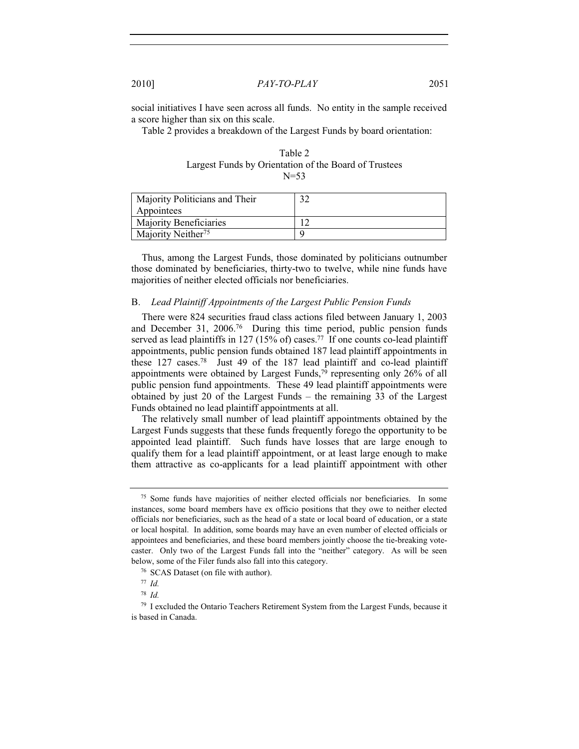social initiatives I have seen across all funds. No entity in the sample received a score higher than six on this scale.

Table 2 provides a breakdown of the Largest Funds by board orientation:

| Table 2                                               |
|-------------------------------------------------------|
| Largest Funds by Orientation of the Board of Trustees |
| $N=53$                                                |

| Majority Politicians and Their |  |
|--------------------------------|--|
| Appointees                     |  |
| <b>Majority Beneficiaries</b>  |  |
| Majority Neither <sup>75</sup> |  |

Thus, among the Largest Funds, those dominated by politicians outnumber those dominated by beneficiaries, thirty-two to twelve, while nine funds have majorities of neither elected officials nor beneficiaries.

#### B. *Lead Plaintiff Appointments of the Largest Public Pension Funds*

There were 824 securities fraud class actions filed between January 1, 2003 and December 31, 2006.76 During this time period, public pension funds served as lead plaintiffs in 127 (15% of) cases.<sup>77</sup> If one counts co-lead plaintiff appointments, public pension funds obtained 187 lead plaintiff appointments in these  $127 \text{ cases}$ .<sup>78</sup> Just 49 of the 187 lead plaintiff and co-lead plaintiff appointments were obtained by Largest Funds,79 representing only 26% of all public pension fund appointments. These 49 lead plaintiff appointments were obtained by just 20 of the Largest Funds – the remaining 33 of the Largest Funds obtained no lead plaintiff appointments at all.

The relatively small number of lead plaintiff appointments obtained by the Largest Funds suggests that these funds frequently forego the opportunity to be appointed lead plaintiff. Such funds have losses that are large enough to qualify them for a lead plaintiff appointment, or at least large enough to make them attractive as co-applicants for a lead plaintiff appointment with other

<sup>75</sup> Some funds have majorities of neither elected officials nor beneficiaries. In some instances, some board members have ex officio positions that they owe to neither elected officials nor beneficiaries, such as the head of a state or local board of education, or a state or local hospital. In addition, some boards may have an even number of elected officials or appointees and beneficiaries, and these board members jointly choose the tie-breaking votecaster. Only two of the Largest Funds fall into the "neither" category. As will be seen below, some of the Filer funds also fall into this category.

<sup>76</sup> SCAS Dataset (on file with author).

<sup>77</sup> *Id.*

<sup>78</sup> *Id.*

<sup>&</sup>lt;sup>79</sup> I excluded the Ontario Teachers Retirement System from the Largest Funds, because it is based in Canada.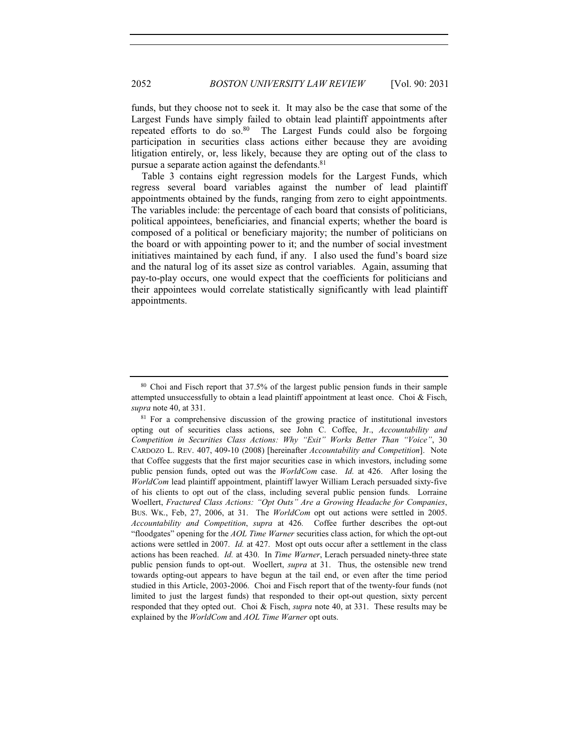funds, but they choose not to seek it. It may also be the case that some of the Largest Funds have simply failed to obtain lead plaintiff appointments after repeated efforts to do so. $80$  The Largest Funds could also be forgoing participation in securities class actions either because they are avoiding litigation entirely, or, less likely, because they are opting out of the class to pursue a separate action against the defendants.81

Table 3 contains eight regression models for the Largest Funds, which regress several board variables against the number of lead plaintiff appointments obtained by the funds, ranging from zero to eight appointments. The variables include: the percentage of each board that consists of politicians, political appointees, beneficiaries, and financial experts; whether the board is composed of a political or beneficiary majority; the number of politicians on the board or with appointing power to it; and the number of social investment initiatives maintained by each fund, if any. I also used the fund's board size and the natural log of its asset size as control variables. Again, assuming that pay-to-play occurs, one would expect that the coefficients for politicians and their appointees would correlate statistically significantly with lead plaintiff appointments.

<sup>80</sup> Choi and Fisch report that 37.5% of the largest public pension funds in their sample attempted unsuccessfully to obtain a lead plaintiff appointment at least once. Choi & Fisch, *supra* note 40, at 331.

<sup>81</sup> For a comprehensive discussion of the growing practice of institutional investors opting out of securities class actions, see John C. Coffee, Jr., *Accountability and Competition in Securities Class Actions: Why "Exit" Works Better Than "Voice"*, 30 CARDOZO L. REV. 407, 409-10 (2008) [hereinafter *Accountability and Competition*]. Note that Coffee suggests that the first major securities case in which investors, including some public pension funds, opted out was the *WorldCom* case. *Id.* at 426. After losing the *WorldCom* lead plaintiff appointment, plaintiff lawyer William Lerach persuaded sixty-five of his clients to opt out of the class, including several public pension funds. Lorraine Woellert, *Fractured Class Actions: "Opt Outs" Are a Growing Headache for Companies*, BUS. WK., Feb, 27, 2006, at 31. The *WorldCom* opt out actions were settled in 2005. *Accountability and Competition*, *supra* at 426*.* Coffee further describes the opt-out "floodgates" opening for the *AOL Time Warner* securities class action, for which the opt-out actions were settled in 2007. *Id.* at 427. Most opt outs occur after a settlement in the class actions has been reached. *Id.* at 430. In *Time Warner*, Lerach persuaded ninety-three state public pension funds to opt-out. Woellert, *supra* at 31. Thus, the ostensible new trend towards opting-out appears to have begun at the tail end, or even after the time period studied in this Article, 2003-2006. Choi and Fisch report that of the twenty-four funds (not limited to just the largest funds) that responded to their opt-out question, sixty percent responded that they opted out. Choi & Fisch, *supra* note 40, at 331. These results may be explained by the *WorldCom* and *AOL Time Warner* opt outs.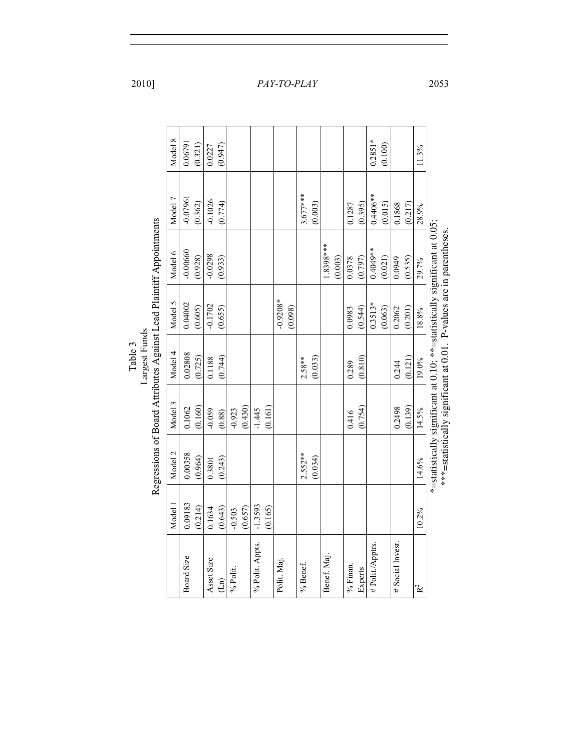|         |                                                                     | Model 8 | 0.06791    | (0.321) | 0.0227     | (0.947) |          |         |                 |         |             |         |            |         |             |         |             |         | $0.2851*$        | (0.100) |                 |         | 11.3%          |                                                                            |                                                                     |
|---------|---------------------------------------------------------------------|---------|------------|---------|------------|---------|----------|---------|-----------------|---------|-------------|---------|------------|---------|-------------|---------|-------------|---------|------------------|---------|-----------------|---------|----------------|----------------------------------------------------------------------------|---------------------------------------------------------------------|
|         |                                                                     | Model 7 | $-0.07961$ | (0.362) | $-0.1026$  | (0.774) |          |         |                 |         |             |         | $3.677***$ | (0.003) |             |         | 0.1287      | (0.395) | $0.4406**$       | (0.015) | 0.1868          | (0.217) | 28.9%          |                                                                            |                                                                     |
|         | Regressions of Board Attributes Against Lead Plaintiff Appointments | Model 6 | $-0.00660$ | (0.928) | $-0.0298$  | (0.933) |          |         |                 |         |             |         |            |         | $1.8398***$ | (0.003) | 0.0378      | (0.797) | $0.4049**$       | (0.021) | 0.0949          | (0.535) | 29.7%          | *=statistically significant at 0.10; **=statistically significant at 0.05; | ***=statistically significant at 0.01. P-values are in parentheses. |
|         |                                                                     | Model 5 | 0.04002    | (0.605) | $-0.1702$  | (0.655) |          |         |                 |         | $-0.9208*$  | (0.098) |            |         |             |         | 0.0983      | (0.544) | $0.3513*$        | (0.063) | 0.2062          | (0.201) | 18.8%          |                                                                            |                                                                     |
| Table 3 | Largest Funds                                                       | Model 4 | 0.02808    | (0.725) | 0.1188     | (0.744) |          |         |                 |         |             |         | $2.58**$   | (0.033) |             |         | 0.289       | (0.810) |                  |         | 0.244           | (0.121) | 19.0%          |                                                                            |                                                                     |
|         |                                                                     | Model 3 | 0.1062     | (0.160) | $-0.059$   | (0.88)  | $-0.923$ | (0.430) | $-1.445$        | (0.161) |             |         |            |         |             |         | 0.416       | (0.754) |                  |         | 0.2498          | (0.139) | 14.5%          |                                                                            |                                                                     |
|         |                                                                     | Model 2 | 0.00358    | (0.964) | 0.3801     | (0.243) |          |         |                 |         |             |         | $2.552**$  | (0.034) |             |         |             |         |                  |         |                 |         | 14.6%          |                                                                            |                                                                     |
|         |                                                                     | Model 1 | 0.09183    | (0.214) | 0.1634     | (0.643) | $-0.503$ | (0.657) | $-1.3593$       | (0.165) |             |         |            |         |             |         |             |         |                  |         |                 |         | 10.2%          |                                                                            |                                                                     |
|         |                                                                     |         | Board Size |         | Asset Size | (Ln)    | % Polit. |         | % Polit. Appts. |         | Polit. Maj. |         | % Benef.   |         | Benef. Maj. |         | $\%$ Finan. | Experts | # Polit./Apptrs. |         | # Social Invest |         | R <sup>2</sup> |                                                                            |                                                                     |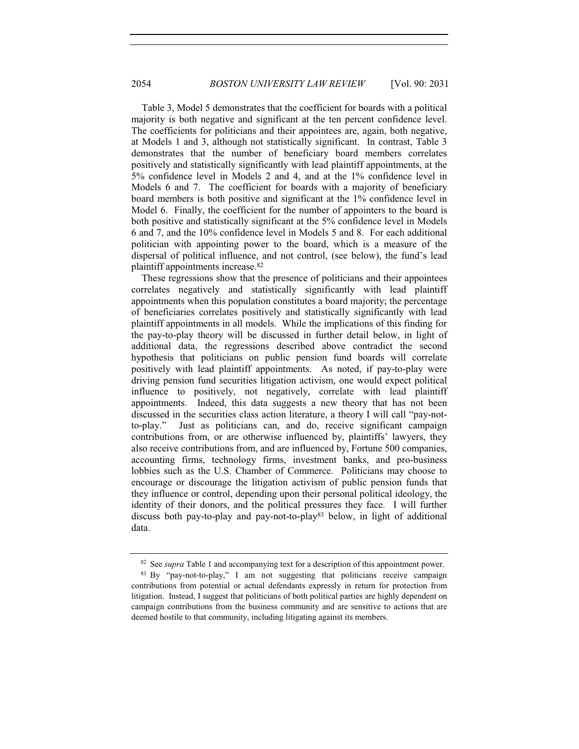Table 3, Model 5 demonstrates that the coefficient for boards with a political majority is both negative and significant at the ten percent confidence level. The coefficients for politicians and their appointees are, again, both negative, at Models 1 and 3, although not statistically significant. In contrast, Table 3 demonstrates that the number of beneficiary board members correlates positively and statistically significantly with lead plaintiff appointments, at the 5% confidence level in Models 2 and 4, and at the 1% confidence level in Models 6 and 7. The coefficient for boards with a majority of beneficiary board members is both positive and significant at the 1% confidence level in Model 6. Finally, the coefficient for the number of appointers to the board is both positive and statistically significant at the 5% confidence level in Models 6 and 7, and the 10% confidence level in Models 5 and 8. For each additional politician with appointing power to the board, which is a measure of the dispersal of political influence, and not control, (see below), the fund's lead plaintiff appointments increase.82

These regressions show that the presence of politicians and their appointees correlates negatively and statistically significantly with lead plaintiff appointments when this population constitutes a board majority; the percentage of beneficiaries correlates positively and statistically significantly with lead plaintiff appointments in all models. While the implications of this finding for the pay-to-play theory will be discussed in further detail below, in light of additional data, the regressions described above contradict the second hypothesis that politicians on public pension fund boards will correlate positively with lead plaintiff appointments. As noted, if pay-to-play were driving pension fund securities litigation activism, one would expect political influence to positively, not negatively, correlate with lead plaintiff appointments. Indeed, this data suggests a new theory that has not been discussed in the securities class action literature, a theory I will call "pay-notto-play." Just as politicians can, and do, receive significant campaign contributions from, or are otherwise influenced by, plaintiffs' lawyers, they also receive contributions from, and are influenced by, Fortune 500 companies, accounting firms, technology firms, investment banks, and pro-business lobbies such as the U.S. Chamber of Commerce. Politicians may choose to encourage or discourage the litigation activism of public pension funds that they influence or control, depending upon their personal political ideology, the identity of their donors, and the political pressures they face. I will further discuss both pay-to-play and pay-not-to-play83 below, in light of additional data.

<sup>&</sup>lt;sup>82</sup> See *supra* Table 1 and accompanying text for a description of this appointment power.<br><sup>83</sup> By "pay-not-to-play," I am not suggesting that politicians receive campaign

contributions from potential or actual defendants expressly in return for protection from litigation. Instead, I suggest that politicians of both political parties are highly dependent on campaign contributions from the business community and are sensitive to actions that are deemed hostile to that community, including litigating against its members.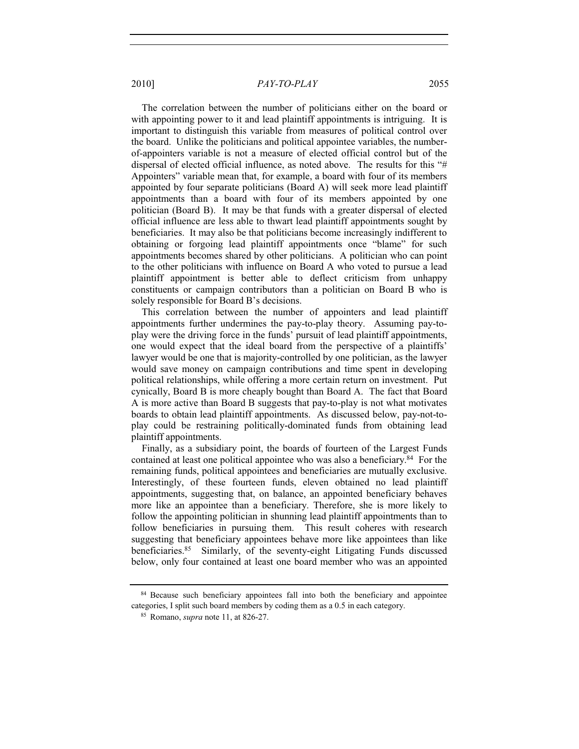The correlation between the number of politicians either on the board or with appointing power to it and lead plaintiff appointments is intriguing. It is important to distinguish this variable from measures of political control over the board. Unlike the politicians and political appointee variables, the numberof-appointers variable is not a measure of elected official control but of the dispersal of elected official influence, as noted above. The results for this "# Appointers" variable mean that, for example, a board with four of its members appointed by four separate politicians (Board A) will seek more lead plaintiff appointments than a board with four of its members appointed by one politician (Board B). It may be that funds with a greater dispersal of elected official influence are less able to thwart lead plaintiff appointments sought by beneficiaries. It may also be that politicians become increasingly indifferent to obtaining or forgoing lead plaintiff appointments once "blame" for such appointments becomes shared by other politicians. A politician who can point to the other politicians with influence on Board A who voted to pursue a lead plaintiff appointment is better able to deflect criticism from unhappy constituents or campaign contributors than a politician on Board B who is solely responsible for Board B's decisions.

This correlation between the number of appointers and lead plaintiff appointments further undermines the pay-to-play theory. Assuming pay-toplay were the driving force in the funds' pursuit of lead plaintiff appointments, one would expect that the ideal board from the perspective of a plaintiffs' lawyer would be one that is majority-controlled by one politician, as the lawyer would save money on campaign contributions and time spent in developing political relationships, while offering a more certain return on investment. Put cynically, Board B is more cheaply bought than Board A. The fact that Board A is more active than Board B suggests that pay-to-play is not what motivates boards to obtain lead plaintiff appointments. As discussed below, pay-not-toplay could be restraining politically-dominated funds from obtaining lead plaintiff appointments.

Finally, as a subsidiary point, the boards of fourteen of the Largest Funds contained at least one political appointee who was also a beneficiary.<sup>84</sup> For the remaining funds, political appointees and beneficiaries are mutually exclusive. Interestingly, of these fourteen funds, eleven obtained no lead plaintiff appointments, suggesting that, on balance, an appointed beneficiary behaves more like an appointee than a beneficiary. Therefore, she is more likely to follow the appointing politician in shunning lead plaintiff appointments than to follow beneficiaries in pursuing them. This result coheres with research suggesting that beneficiary appointees behave more like appointees than like beneficiaries.85 Similarly, of the seventy-eight Litigating Funds discussed below, only four contained at least one board member who was an appointed

<sup>&</sup>lt;sup>84</sup> Because such beneficiary appointees fall into both the beneficiary and appointee categories, I split such board members by coding them as a 0.5 in each category.

<sup>85</sup> Romano, *supra* note 11, at 826-27.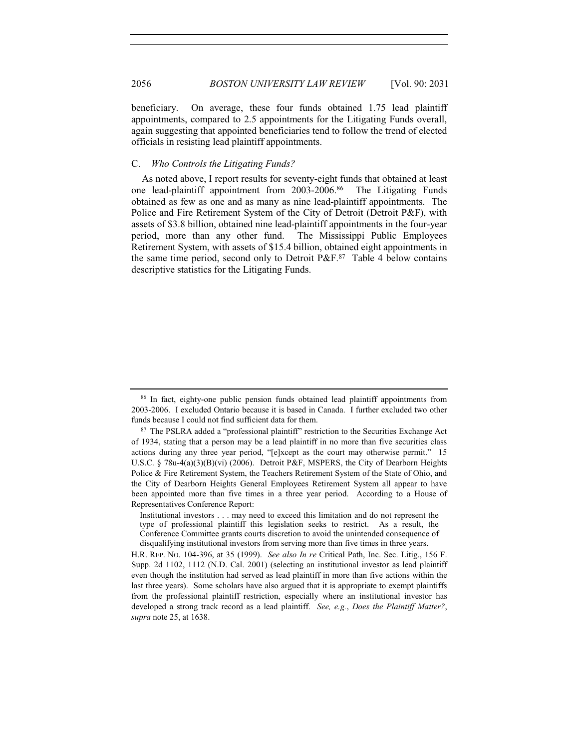beneficiary. On average, these four funds obtained 1.75 lead plaintiff appointments, compared to 2.5 appointments for the Litigating Funds overall, again suggesting that appointed beneficiaries tend to follow the trend of elected officials in resisting lead plaintiff appointments.

#### C. *Who Controls the Litigating Funds?*

As noted above, I report results for seventy-eight funds that obtained at least one lead-plaintiff appointment from 2003-2006.86 The Litigating Funds obtained as few as one and as many as nine lead-plaintiff appointments. The Police and Fire Retirement System of the City of Detroit (Detroit P&F), with assets of \$3.8 billion, obtained nine lead-plaintiff appointments in the four-year period, more than any other fund. The Mississippi Public Employees Retirement System, with assets of \$15.4 billion, obtained eight appointments in the same time period, second only to Detroit  $P\&E.87$  Table 4 below contains descriptive statistics for the Litigating Funds.

<sup>86</sup> In fact, eighty-one public pension funds obtained lead plaintiff appointments from 2003-2006. I excluded Ontario because it is based in Canada. I further excluded two other funds because I could not find sufficient data for them.

<sup>&</sup>lt;sup>87</sup> The PSLRA added a "professional plaintiff" restriction to the Securities Exchange Act of 1934, stating that a person may be a lead plaintiff in no more than five securities class actions during any three year period, "[e]xcept as the court may otherwise permit." 15 U.S.C. § 78u-4(a)(3)(B)(vi) (2006). Detroit P&F, MSPERS, the City of Dearborn Heights Police & Fire Retirement System, the Teachers Retirement System of the State of Ohio, and the City of Dearborn Heights General Employees Retirement System all appear to have been appointed more than five times in a three year period. According to a House of Representatives Conference Report:

Institutional investors . . . may need to exceed this limitation and do not represent the type of professional plaintiff this legislation seeks to restrict. As a result, the Conference Committee grants courts discretion to avoid the unintended consequence of disqualifying institutional investors from serving more than five times in three years.

H.R. REP. NO. 104-396, at 35 (1999). *See also In re* Critical Path, Inc. Sec. Litig., 156 F. Supp. 2d 1102, 1112 (N.D. Cal. 2001) (selecting an institutional investor as lead plaintiff even though the institution had served as lead plaintiff in more than five actions within the last three years). Some scholars have also argued that it is appropriate to exempt plaintiffs from the professional plaintiff restriction, especially where an institutional investor has developed a strong track record as a lead plaintiff. *See, e.g.*, *Does the Plaintiff Matter?*, *supra* note 25, at 1638.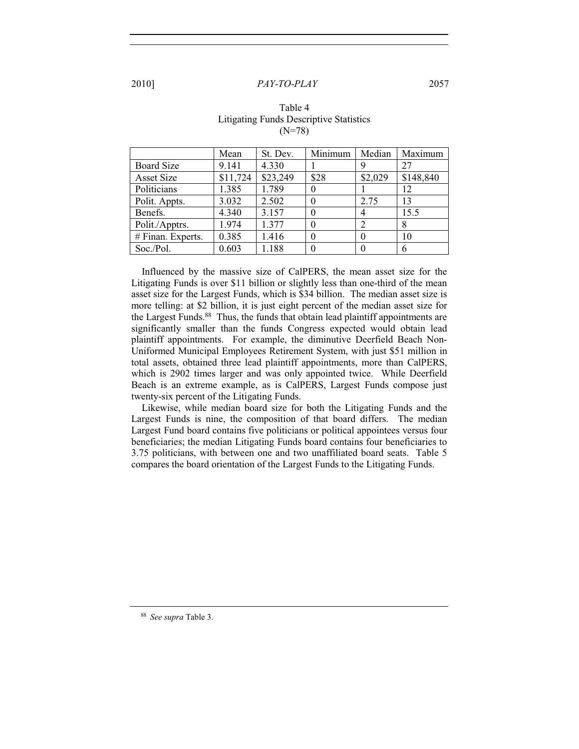|                   | Mean     | St. Dev. | Minimum  | Median   | Maximum   |
|-------------------|----------|----------|----------|----------|-----------|
| <b>Board Size</b> | 9.141    | 4.330    |          | 9        | 27        |
| <b>Asset Size</b> | \$11,724 | \$23,249 | \$28     | \$2,029  | \$148,840 |
| Politicians       | 1.385    | 1.789    | $\theta$ |          | 12        |
| Polit. Appts.     | 3.032    | 2.502    |          | 2.75     | 13        |
| Benefs.           | 4.340    | 3.157    | $\theta$ | 4        | 15.5      |
| Polit./Apptrs.    | 1.974    | 1.377    | $\theta$ | 2        | 8         |
| # Finan. Experts. | 0.385    | 1.416    | $\theta$ | $\theta$ | 10        |
| Soc./Pol.         | 0.603    | 1.188    |          | $\theta$ | 6         |

#### Table 4 Litigating Funds Descriptive Statistics (N=78)

Influenced by the massive size of CalPERS, the mean asset size for the Litigating Funds is over \$11 billion or slightly less than one-third of the mean asset size for the Largest Funds, which is \$34 billion. The median asset size is more telling: at \$2 billion, it is just eight percent of the median asset size for the Largest Funds.<sup>88</sup> Thus, the funds that obtain lead plaintiff appointments are significantly smaller than the funds Congress expected would obtain lead plaintiff appointments. For example, the diminutive Deerfield Beach Non-Uniformed Municipal Employees Retirement System, with just \$51 million in total assets, obtained three lead plaintiff appointments, more than CalPERS, which is 2902 times larger and was only appointed twice. While Deerfield Beach is an extreme example, as is CalPERS, Largest Funds compose just twenty-six percent of the Litigating Funds.

Likewise, while median board size for both the Litigating Funds and the Largest Funds is nine, the composition of that board differs. The median Largest Fund board contains five politicians or political appointees versus four beneficiaries; the median Litigating Funds board contains four beneficiaries to 3.75 politicians, with between one and two unaffiliated board seats. Table 5 compares the board orientation of the Largest Funds to the Litigating Funds.

<sup>88</sup> *See supra* Table 3.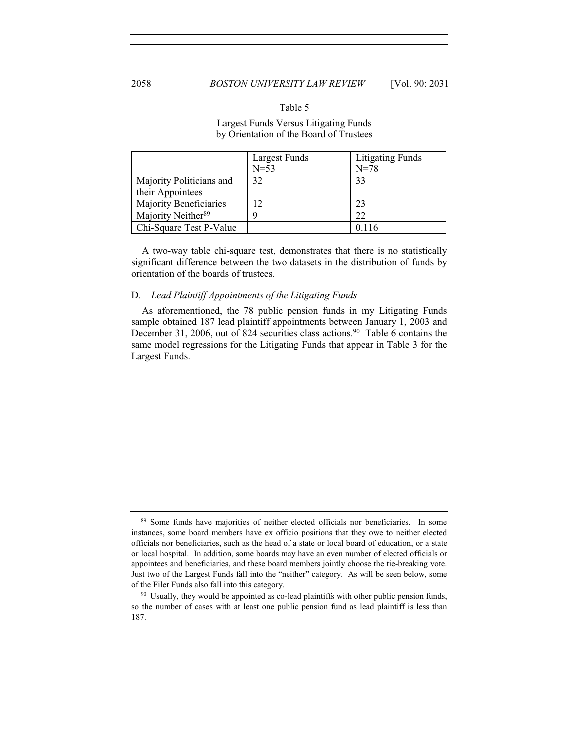#### Table 5

#### Largest Funds Versus Litigating Funds by Orientation of the Board of Trustees

|                                | Largest Funds | <b>Litigating Funds</b> |
|--------------------------------|---------------|-------------------------|
|                                | $N=53$        | $N = 78$                |
| Majority Politicians and       | 32            | 33                      |
| their Appointees               |               |                         |
| Majority Beneficiaries         | 12            | 23                      |
| Majority Neither <sup>89</sup> |               | 22                      |
| Chi-Square Test P-Value        |               |                         |

A two-way table chi-square test, demonstrates that there is no statistically significant difference between the two datasets in the distribution of funds by orientation of the boards of trustees.

#### D. *Lead Plaintiff Appointments of the Litigating Funds*

As aforementioned, the 78 public pension funds in my Litigating Funds sample obtained 187 lead plaintiff appointments between January 1, 2003 and December 31, 2006, out of 824 securities class actions.<sup>90</sup> Table 6 contains the same model regressions for the Litigating Funds that appear in Table 3 for the Largest Funds.

<sup>89</sup> Some funds have majorities of neither elected officials nor beneficiaries. In some instances, some board members have ex officio positions that they owe to neither elected officials nor beneficiaries, such as the head of a state or local board of education, or a state or local hospital. In addition, some boards may have an even number of elected officials or appointees and beneficiaries, and these board members jointly choose the tie-breaking vote. Just two of the Largest Funds fall into the "neither" category. As will be seen below, some of the Filer Funds also fall into this category.

<sup>&</sup>lt;sup>90</sup> Usually, they would be appointed as co-lead plaintiffs with other public pension funds, so the number of cases with at least one public pension fund as lead plaintiff is less than 187.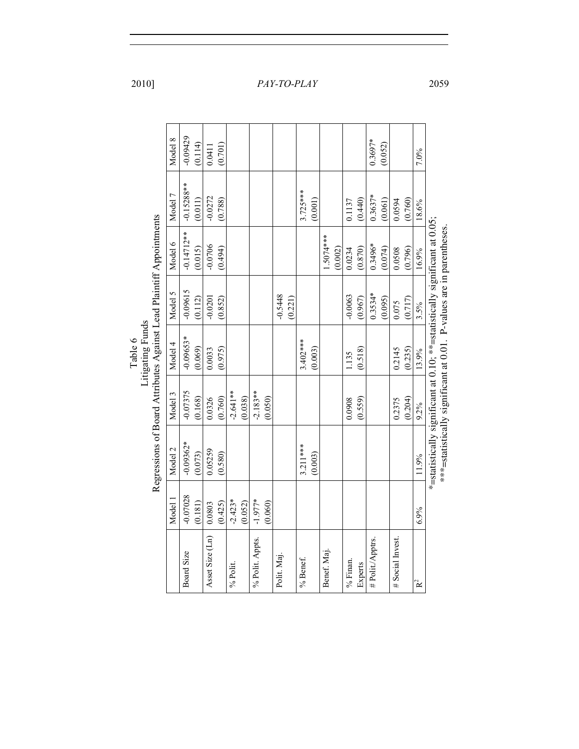|         |                                                                     | Model 8<br>Model 7 | $-0.09429$<br>$-0.15288**$ | (0.114)<br>(0.011) | 0.0411<br>$-0.0272$ | (0.701) |            |         |                 |         |                      | $3.725***$ | (0.001) |            |         |           |         | $0.3697*$<br>$0.3637*$ | (0.052)<br>(0.061) |                 |         | 7.0%  |                                                                            |                                                                     |
|---------|---------------------------------------------------------------------|--------------------|----------------------------|--------------------|---------------------|---------|------------|---------|-----------------|---------|----------------------|------------|---------|------------|---------|-----------|---------|------------------------|--------------------|-----------------|---------|-------|----------------------------------------------------------------------------|---------------------------------------------------------------------|
|         |                                                                     |                    |                            |                    |                     | (0.788) |            |         |                 |         |                      |            |         |            |         | 0.1137    | (0.440) |                        |                    | 0.0594          | (0.760) | 18.6% |                                                                            |                                                                     |
|         |                                                                     | Model 6            | $-0.14712**$               | (0.015)            | $-0.0706$           | (0.494) |            |         |                 |         |                      |            |         | 1.5074***  | (0.002) | 0.0234    | (0.870) | $0.3496*$              | (0.074)            | 0.0508          | (0.796) | 16.9% |                                                                            |                                                                     |
|         |                                                                     | Model 5            | $-0.09615$                 | (0.112)            | $-0.0201$           | (0.852) |            |         |                 |         | $-0.5448$<br>(0.221) |            |         |            |         | $-0.0063$ | (0.967) | $0.3534*$              | (0.095)            | 0.075           | (0.717) | 3.5%  |                                                                            |                                                                     |
| Table 6 | Litigating Funds                                                    | Model 4            | $-0.09653*$                | (0.069)            | 0.0033              | (0.975) |            |         |                 |         |                      | $3.402***$ | (0.003) |            |         | 1.135     | (0.518) |                        |                    | 0.2145          | (0.235) | 13.9% |                                                                            |                                                                     |
|         |                                                                     | Model 3            | $-0.07375$                 | (0.168)            | 0.0326              | (0.760) | $-2.641**$ | (0.038) | $-2.183**$      | (0.050) |                      |            |         |            |         | 0.0908    | (0.559) |                        |                    | 0.2375          | (0.204) | 9.2%  |                                                                            |                                                                     |
|         | Regressions of Board Attributes Against Lead Plaintiff Appointments | Model 2            | $-0.09362*$                | (0.073)            | 0.05259             | (0.580) |            |         |                 |         |                      | $3.211***$ | (0.003) |            |         |           |         |                        |                    |                 |         | 11.9% | *=statistically significant at 0.10; **=statistically significant at 0.05; | ***=statistically significant at 0.01. P-values are in parentheses. |
|         |                                                                     | Model 1            | $-0.07028$                 | (0.181)            | 0.0803              | (0.425) | $-2.423*$  | (0.052) | $-1.977*$       | (0.060) |                      |            |         |            |         |           |         |                        |                    |                 |         | 6.9%  |                                                                            |                                                                     |
|         |                                                                     |                    | Board Size                 |                    | Asset Size (Ln)     |         | % Polit.   |         | % Polit. Appts. |         | Polit. Maj.          | % Benef.   |         | Benef. Maj |         | % Finan.  | Experts | # Polit./Apptrs.       |                    | # Social Invest |         | $R^2$ |                                                                            |                                                                     |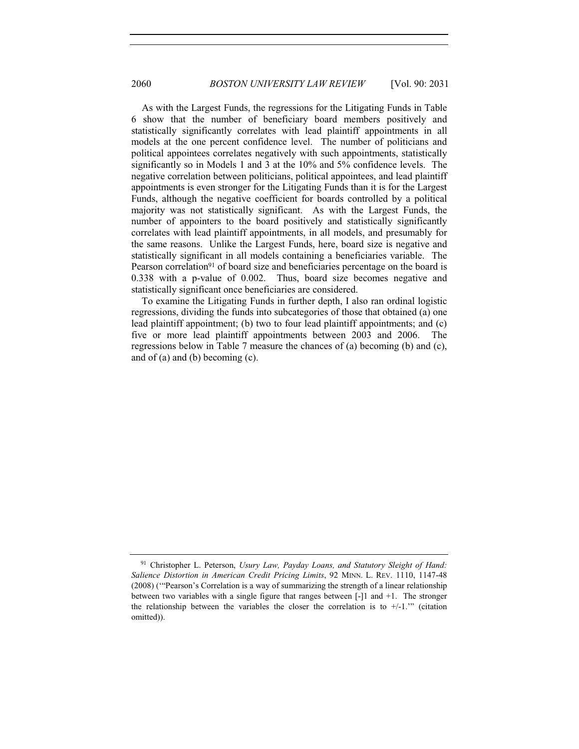As with the Largest Funds, the regressions for the Litigating Funds in Table 6 show that the number of beneficiary board members positively and statistically significantly correlates with lead plaintiff appointments in all models at the one percent confidence level. The number of politicians and political appointees correlates negatively with such appointments, statistically significantly so in Models 1 and 3 at the 10% and 5% confidence levels. The negative correlation between politicians, political appointees, and lead plaintiff appointments is even stronger for the Litigating Funds than it is for the Largest Funds, although the negative coefficient for boards controlled by a political majority was not statistically significant. As with the Largest Funds, the number of appointers to the board positively and statistically significantly correlates with lead plaintiff appointments, in all models, and presumably for the same reasons. Unlike the Largest Funds, here, board size is negative and statistically significant in all models containing a beneficiaries variable. The Pearson correlation<sup>91</sup> of board size and beneficiaries percentage on the board is 0.338 with a p-value of 0.002. Thus, board size becomes negative and statistically significant once beneficiaries are considered.

To examine the Litigating Funds in further depth, I also ran ordinal logistic regressions, dividing the funds into subcategories of those that obtained (a) one lead plaintiff appointment; (b) two to four lead plaintiff appointments; and (c) five or more lead plaintiff appointments between 2003 and 2006. The regressions below in Table 7 measure the chances of (a) becoming (b) and (c), and of (a) and (b) becoming (c).

<sup>91</sup> Christopher L. Peterson, *Usury Law, Payday Loans, and Statutory Sleight of Hand: Salience Distortion in American Credit Pricing Limits*, 92 MINN. L. REV. 1110, 1147-48 (2008) ('"Pearson's Correlation is a way of summarizing the strength of a linear relationship between two variables with a single figure that ranges between [-]1 and +1. The stronger the relationship between the variables the closer the correlation is to  $+/1$ ." (citation omitted)).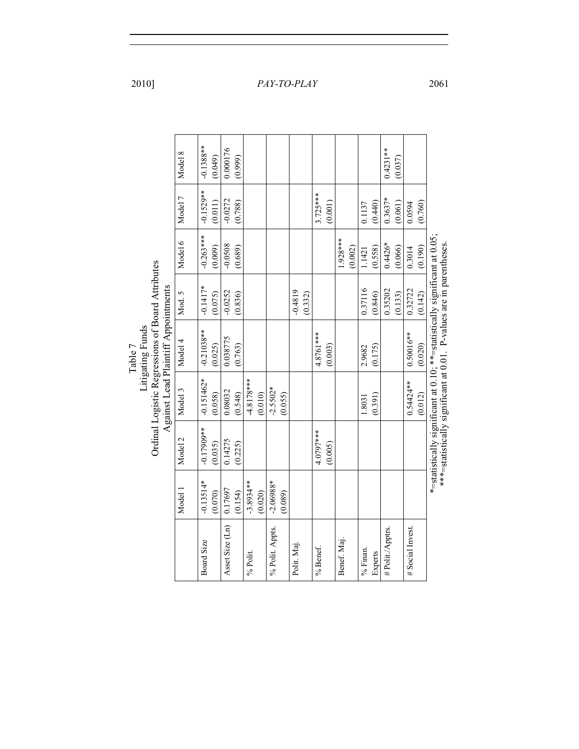|         |                  |                                                                                         | Model 8 | $-0.1388**$  | (0.049) | 0.000176        | (0.999) |              |         |                 |         |             |         |            |         |            |         |          |         | $0.4231**$       | (0.037) |                 |         |                                                                                                                                                   |
|---------|------------------|-----------------------------------------------------------------------------------------|---------|--------------|---------|-----------------|---------|--------------|---------|-----------------|---------|-------------|---------|------------|---------|------------|---------|----------|---------|------------------|---------|-----------------|---------|---------------------------------------------------------------------------------------------------------------------------------------------------|
|         |                  |                                                                                         | Model 7 | $-0.1529**$  | (0.011) | $-0.0272$       | (0.788) |              |         |                 |         |             |         | $3.725***$ | (0.001) |            |         | 0.1137   | (0.440) | $0.3637*$        | (0.061) | 0.0594          | (0.760) |                                                                                                                                                   |
|         |                  |                                                                                         | Model 6 | $-0.263***$  | (0.009) | $-0.0508$       | (0.689) |              |         |                 |         |             |         |            |         | 1.928***   | (0.002) | 1.1421   | (0.558) | $0.4426*$        | (0.066) | 0.3014          | (0.190) |                                                                                                                                                   |
|         |                  |                                                                                         | Mod. 5  | $-0.1417*$   | (0.075) | $-0.0252$       | (0.836) |              |         |                 |         | $-0.4819$   | (0.332) |            |         |            |         | 0.37116  | (0.846) | 0.35202          | (0.133) | 0.32722         | (0.142) |                                                                                                                                                   |
| Table 7 | Litigating Funds | Ordinal Logistic Regressions of Board Attributes<br>Against Lead Plaintiff Appointments | Model 4 | $-0.21038**$ | (0.025) | 0.038775        | (0.763) |              |         |                 |         |             |         | 4.8761***  | (0.003) |            |         | 2.9682   | (0.175) |                  |         | $0.50016**$     | (0.020) | *=statistically significant at 0.10; **=statistically significant at 0.05;<br>***=statistically significant at 0.01. P-values are in parentheses. |
|         |                  |                                                                                         | Model 3 | $-0.151462*$ | (0.058) | 0.08032         | (0.548) | $-4.8178***$ | (0.010) | $-2.5502*$      | (0.055) |             |         |            |         |            |         | 1.8031   | (0.391) |                  |         | $0.54424**$     | (0.012) |                                                                                                                                                   |
|         |                  |                                                                                         | Model 2 | $-0.17909**$ | (0.035) | 0.14275         | (0.225) |              |         |                 |         |             |         | 4.0797***  | (0.005) |            |         |          |         |                  |         |                 |         |                                                                                                                                                   |
|         |                  |                                                                                         | Model 1 | $-0.13514*$  | (0.070) | 0.17697         | (0.154) | $-3.8934***$ | (0.020) | $-2.06988*$     | (0.089) |             |         |            |         |            |         |          |         |                  |         |                 |         |                                                                                                                                                   |
|         |                  |                                                                                         |         | Board Size   |         | Asset Size (Ln) |         | % Polit.     |         | % Polit. Appts. |         | Polit. Maj. |         | % Benef.   |         | Benef. Maj |         | % Finan. | Experts | # Polit./Apptrs. |         | # Social Invest |         |                                                                                                                                                   |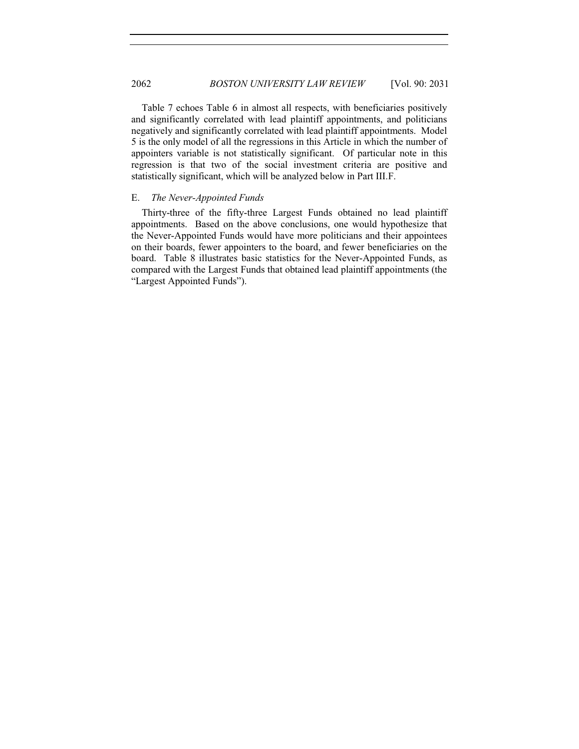2062 *BOSTON UNIVERSITY LAW REVIEW* [Vol. 90: 2031

Table 7 echoes Table 6 in almost all respects, with beneficiaries positively and significantly correlated with lead plaintiff appointments, and politicians negatively and significantly correlated with lead plaintiff appointments. Model 5 is the only model of all the regressions in this Article in which the number of appointers variable is not statistically significant. Of particular note in this regression is that two of the social investment criteria are positive and statistically significant, which will be analyzed below in Part III.F.

#### E. *The Never-Appointed Funds*

Thirty-three of the fifty-three Largest Funds obtained no lead plaintiff appointments. Based on the above conclusions, one would hypothesize that the Never-Appointed Funds would have more politicians and their appointees on their boards, fewer appointers to the board, and fewer beneficiaries on the board. Table 8 illustrates basic statistics for the Never-Appointed Funds, as compared with the Largest Funds that obtained lead plaintiff appointments (the "Largest Appointed Funds").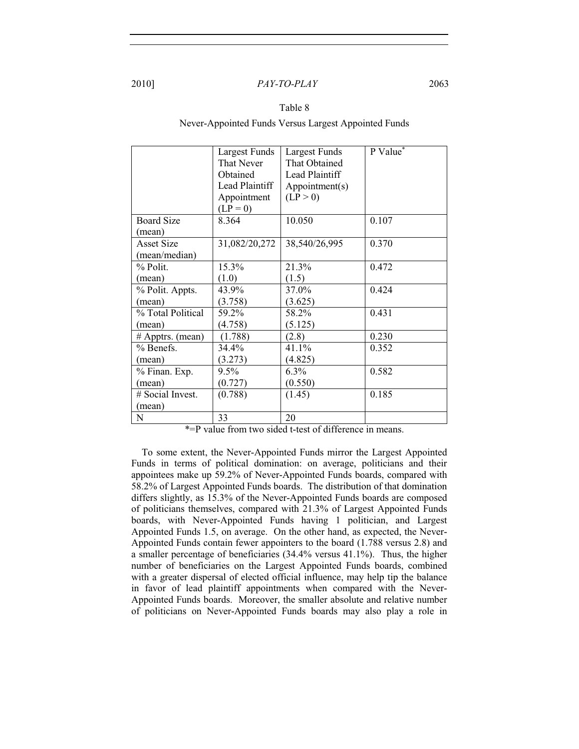#### Table 8

Never-Appointed Funds Versus Largest Appointed Funds

|                   | Largest Funds<br>That Never<br>Obtained<br>Lead Plaintiff<br>Appointment<br>$(LP = 0)$ | Largest Funds<br>That Obtained<br>Lead Plaintiff<br>Appointment(s)<br>(LP > 0) | $P Value^*$ |
|-------------------|----------------------------------------------------------------------------------------|--------------------------------------------------------------------------------|-------------|
| <b>Board Size</b> | 8.364                                                                                  | 10.050                                                                         | 0.107       |
| (mean)            |                                                                                        |                                                                                |             |
| <b>Asset Size</b> | 31,082/20,272                                                                          | 38,540/26,995                                                                  | 0.370       |
| (mean/median)     |                                                                                        |                                                                                |             |
| $%$ Polit.        | 15.3%                                                                                  | 21.3%                                                                          | 0.472       |
| (mean)            | (1.0)                                                                                  | (1.5)                                                                          |             |
| % Polit. Appts.   | 43.9%                                                                                  | 37.0%                                                                          | 0.424       |
| (mean)            | (3.758)                                                                                | (3.625)                                                                        |             |
| % Total Political | 59.2%                                                                                  | 58.2%                                                                          | 0.431       |
| (mean)            | (4.758)                                                                                | (5.125)                                                                        |             |
| # Apptrs. (mean)  | (1.788)                                                                                | (2.8)                                                                          | 0.230       |
| % Benefs.         | 34.4%                                                                                  | 41.1%                                                                          | 0.352       |
| (mean)            | (3.273)                                                                                | (4.825)                                                                        |             |
| % Finan. Exp.     | $9.5\%$                                                                                | $6.3\%$                                                                        | 0.582       |
| (mean)            | (0.727)                                                                                | (0.550)                                                                        |             |
| # Social Invest.  | (0.788)                                                                                | (1.45)                                                                         | 0.185       |
| (mean)            |                                                                                        |                                                                                |             |
| ${\bf N}$         | 33                                                                                     | 20                                                                             |             |

\*=P value from two sided t-test of difference in means.

To some extent, the Never-Appointed Funds mirror the Largest Appointed Funds in terms of political domination: on average, politicians and their appointees make up 59.2% of Never-Appointed Funds boards, compared with 58.2% of Largest Appointed Funds boards. The distribution of that domination differs slightly, as 15.3% of the Never-Appointed Funds boards are composed of politicians themselves, compared with 21.3% of Largest Appointed Funds boards, with Never-Appointed Funds having 1 politician, and Largest Appointed Funds 1.5, on average. On the other hand, as expected, the Never-Appointed Funds contain fewer appointers to the board (1.788 versus 2.8) and a smaller percentage of beneficiaries (34.4% versus 41.1%). Thus, the higher number of beneficiaries on the Largest Appointed Funds boards, combined with a greater dispersal of elected official influence, may help tip the balance in favor of lead plaintiff appointments when compared with the Never-Appointed Funds boards. Moreover, the smaller absolute and relative number of politicians on Never-Appointed Funds boards may also play a role in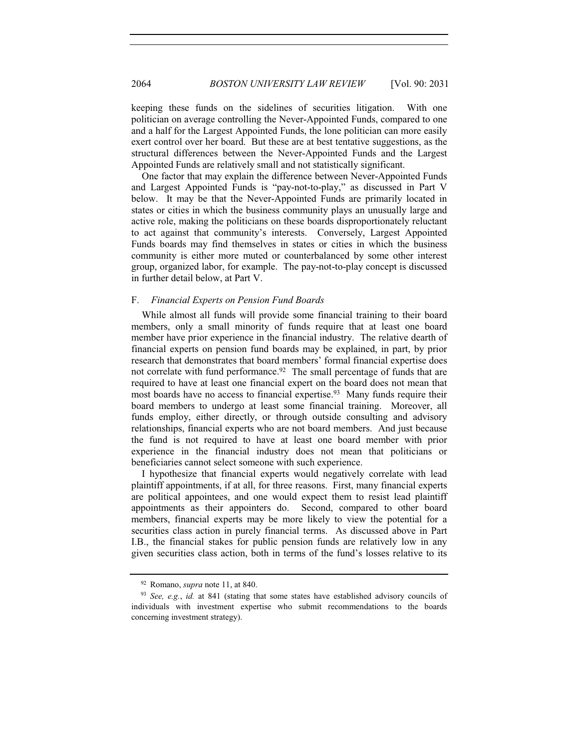keeping these funds on the sidelines of securities litigation. With one politician on average controlling the Never-Appointed Funds, compared to one and a half for the Largest Appointed Funds, the lone politician can more easily exert control over her board. But these are at best tentative suggestions, as the structural differences between the Never-Appointed Funds and the Largest Appointed Funds are relatively small and not statistically significant.

One factor that may explain the difference between Never-Appointed Funds and Largest Appointed Funds is "pay-not-to-play," as discussed in Part V below. It may be that the Never-Appointed Funds are primarily located in states or cities in which the business community plays an unusually large and active role, making the politicians on these boards disproportionately reluctant to act against that community's interests. Conversely, Largest Appointed Funds boards may find themselves in states or cities in which the business community is either more muted or counterbalanced by some other interest group, organized labor, for example. The pay-not-to-play concept is discussed in further detail below, at Part V.

#### F. *Financial Experts on Pension Fund Boards*

While almost all funds will provide some financial training to their board members, only a small minority of funds require that at least one board member have prior experience in the financial industry. The relative dearth of financial experts on pension fund boards may be explained, in part, by prior research that demonstrates that board members' formal financial expertise does not correlate with fund performance.<sup>92</sup> The small percentage of funds that are required to have at least one financial expert on the board does not mean that most boards have no access to financial expertise.<sup>93</sup> Many funds require their board members to undergo at least some financial training. Moreover, all funds employ, either directly, or through outside consulting and advisory relationships, financial experts who are not board members. And just because the fund is not required to have at least one board member with prior experience in the financial industry does not mean that politicians or beneficiaries cannot select someone with such experience.

I hypothesize that financial experts would negatively correlate with lead plaintiff appointments, if at all, for three reasons. First, many financial experts are political appointees, and one would expect them to resist lead plaintiff appointments as their appointers do. Second, compared to other board members, financial experts may be more likely to view the potential for a securities class action in purely financial terms. As discussed above in Part I.B., the financial stakes for public pension funds are relatively low in any given securities class action, both in terms of the fund's losses relative to its

<sup>92</sup> Romano, *supra* note 11, at 840.

<sup>93</sup> *See, e.g.*, *id.* at 841 (stating that some states have established advisory councils of individuals with investment expertise who submit recommendations to the boards concerning investment strategy).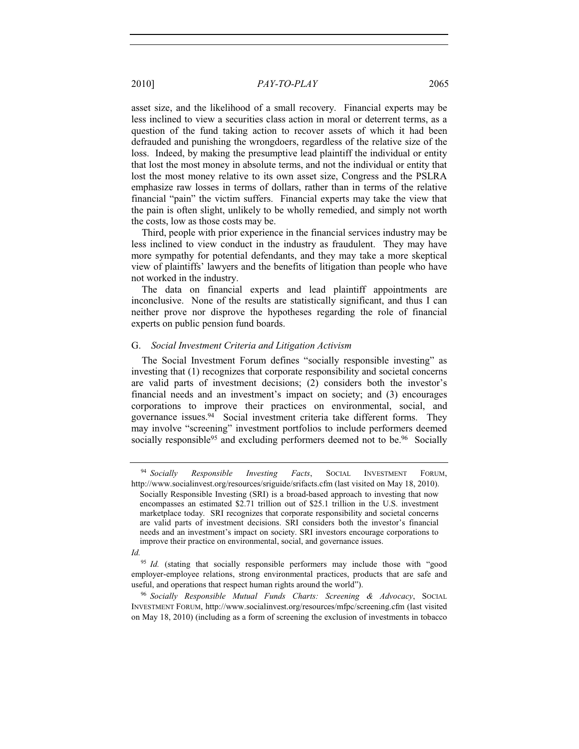asset size, and the likelihood of a small recovery. Financial experts may be less inclined to view a securities class action in moral or deterrent terms, as a question of the fund taking action to recover assets of which it had been defrauded and punishing the wrongdoers, regardless of the relative size of the loss. Indeed, by making the presumptive lead plaintiff the individual or entity that lost the most money in absolute terms, and not the individual or entity that lost the most money relative to its own asset size, Congress and the PSLRA emphasize raw losses in terms of dollars, rather than in terms of the relative financial "pain" the victim suffers. Financial experts may take the view that the pain is often slight, unlikely to be wholly remedied, and simply not worth the costs, low as those costs may be.

Third, people with prior experience in the financial services industry may be less inclined to view conduct in the industry as fraudulent. They may have more sympathy for potential defendants, and they may take a more skeptical view of plaintiffs' lawyers and the benefits of litigation than people who have not worked in the industry.

The data on financial experts and lead plaintiff appointments are inconclusive. None of the results are statistically significant, and thus I can neither prove nor disprove the hypotheses regarding the role of financial experts on public pension fund boards.

#### G. *Social Investment Criteria and Litigation Activism*

The Social Investment Forum defines "socially responsible investing" as investing that (1) recognizes that corporate responsibility and societal concerns are valid parts of investment decisions; (2) considers both the investor's financial needs and an investment's impact on society; and (3) encourages corporations to improve their practices on environmental, social, and governance issues.94 Social investment criteria take different forms. They may involve "screening" investment portfolios to include performers deemed socially responsible<sup>95</sup> and excluding performers deemed not to be.<sup>96</sup> Socially

<sup>96</sup> *Socially Responsible Mutual Funds Charts: Screening & Advocacy*, SOCIAL INVESTMENT FORUM, http://www.socialinvest.org/resources/mfpc/screening.cfm (last visited on May 18, 2010) (including as a form of screening the exclusion of investments in tobacco

<sup>94</sup> *Socially Responsible Investing Facts*, SOCIAL INVESTMENT FORUM, http://www.socialinvest.org/resources/sriguide/srifacts.cfm (last visited on May 18, 2010).

Socially Responsible Investing (SRI) is a broad-based approach to investing that now encompasses an estimated \$2.71 trillion out of \$25.1 trillion in the U.S. investment marketplace today. SRI recognizes that corporate responsibility and societal concerns are valid parts of investment decisions. SRI considers both the investor's financial needs and an investment's impact on society. SRI investors encourage corporations to improve their practice on environmental, social, and governance issues.

*Id.*

<sup>&</sup>lt;sup>95</sup> *Id.* (stating that socially responsible performers may include those with "good employer-employee relations, strong environmental practices, products that are safe and useful, and operations that respect human rights around the world").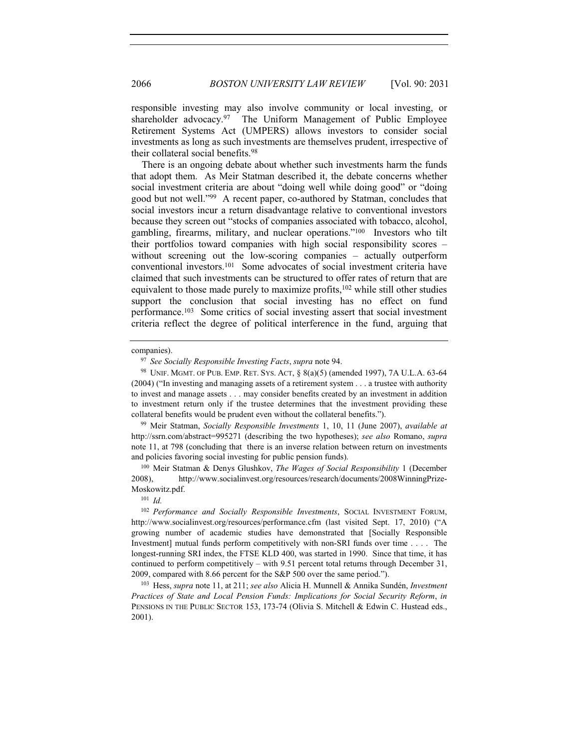responsible investing may also involve community or local investing, or shareholder advocacy.<sup>97</sup> The Uniform Management of Public Employee Retirement Systems Act (UMPERS) allows investors to consider social investments as long as such investments are themselves prudent, irrespective of their collateral social benefits.98

There is an ongoing debate about whether such investments harm the funds that adopt them. As Meir Statman described it, the debate concerns whether social investment criteria are about "doing well while doing good" or "doing good but not well."99 A recent paper, co-authored by Statman, concludes that social investors incur a return disadvantage relative to conventional investors because they screen out "stocks of companies associated with tobacco, alcohol, gambling, firearms, military, and nuclear operations."100 Investors who tilt their portfolios toward companies with high social responsibility scores – without screening out the low-scoring companies – actually outperform conventional investors.101 Some advocates of social investment criteria have claimed that such investments can be structured to offer rates of return that are equivalent to those made purely to maximize profits,<sup>102</sup> while still other studies support the conclusion that social investing has no effect on fund performance.103 Some critics of social investing assert that social investment criteria reflect the degree of political interference in the fund, arguing that

<sup>99</sup> Meir Statman, *Socially Responsible Investments* 1, 10, 11 (June 2007), *available at* http://ssrn.com/abstract=995271 (describing the two hypotheses); *see also* Romano, *supra* note 11, at 798 (concluding that there is an inverse relation between return on investments and policies favoring social investing for public pension funds).

<sup>100</sup> Meir Statman & Denys Glushkov, *The Wages of Social Responsibility* 1 (December 2008), http://www.socialinvest.org/resources/research/documents/2008WinningPrize-Moskowitz.pdf.

*Practices of State and Local Pension Funds: Implications for Social Security Reform*, *in* PENSIONS IN THE PUBLIC SECTOR 153, 173-74 (Olivia S. Mitchell & Edwin C. Hustead eds., 2001).

companies).

<sup>97</sup> *See Socially Responsible Investing Facts*, *supra* note 94.

<sup>98</sup> UNIF. MGMT. OF PUB. EMP. RET. SYS. ACT, § 8(a)(5) (amended 1997), 7A U.L.A. 63-64 (2004) ("In investing and managing assets of a retirement system . . . a trustee with authority to invest and manage assets . . . may consider benefits created by an investment in addition to investment return only if the trustee determines that the investment providing these collateral benefits would be prudent even without the collateral benefits.").

<sup>101</sup> *Id.*

<sup>102</sup> *Performance and Socially Responsible Investments*, SOCIAL INVESTMENT FORUM, http://www.socialinvest.org/resources/performance.cfm (last visited Sept. 17, 2010) ("A growing number of academic studies have demonstrated that [Socially Responsible Investment] mutual funds perform competitively with non-SRI funds over time . . . . The longest-running SRI index, the FTSE KLD 400, was started in 1990. Since that time, it has continued to perform competitively – with 9.51 percent total returns through December 31, 2009, compared with 8.66 percent for the S&P 500 over the same period."). 103 Hess, *supra* note 11, at 211; *see also* Alicia H. Munnell & Annika Sundén, *Investment*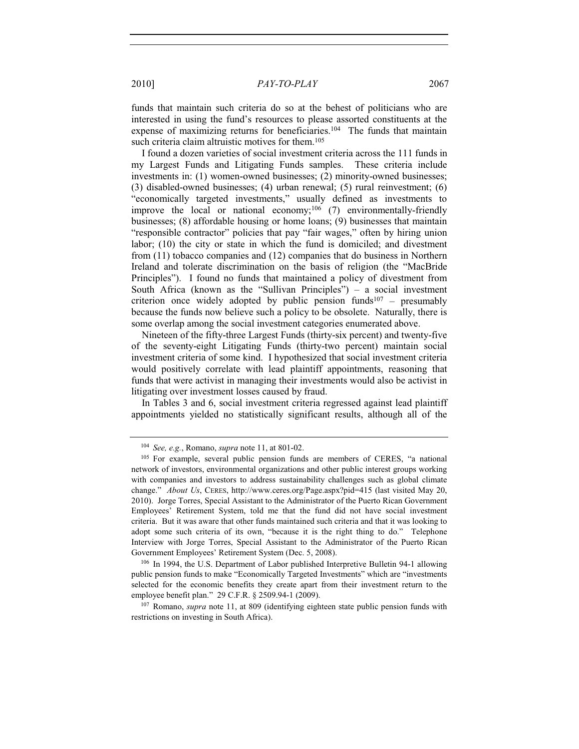funds that maintain such criteria do so at the behest of politicians who are interested in using the fund's resources to please assorted constituents at the expense of maximizing returns for beneficiaries.<sup>104</sup> The funds that maintain such criteria claim altruistic motives for them.<sup>105</sup>

I found a dozen varieties of social investment criteria across the 111 funds in my Largest Funds and Litigating Funds samples. These criteria include investments in: (1) women-owned businesses; (2) minority-owned businesses; (3) disabled-owned businesses; (4) urban renewal; (5) rural reinvestment; (6) "economically targeted investments," usually defined as investments to improve the local or national economy;<sup>106</sup> (7) environmentally-friendly businesses; (8) affordable housing or home loans; (9) businesses that maintain "responsible contractor" policies that pay "fair wages," often by hiring union labor; (10) the city or state in which the fund is domiciled; and divestment from (11) tobacco companies and (12) companies that do business in Northern Ireland and tolerate discrimination on the basis of religion (the "MacBride Principles"). I found no funds that maintained a policy of divestment from South Africa (known as the "Sullivan Principles") – a social investment criterion once widely adopted by public pension funds $107 -$  presumably because the funds now believe such a policy to be obsolete. Naturally, there is some overlap among the social investment categories enumerated above.

Nineteen of the fifty-three Largest Funds (thirty-six percent) and twenty-five of the seventy-eight Litigating Funds (thirty-two percent) maintain social investment criteria of some kind. I hypothesized that social investment criteria would positively correlate with lead plaintiff appointments, reasoning that funds that were activist in managing their investments would also be activist in litigating over investment losses caused by fraud.

In Tables 3 and 6, social investment criteria regressed against lead plaintiff appointments yielded no statistically significant results, although all of the

<sup>106</sup> In 1994, the U.S. Department of Labor published Interpretive Bulletin 94-1 allowing public pension funds to make "Economically Targeted Investments" which are "investments selected for the economic benefits they create apart from their investment return to the employee benefit plan." 29 C.F.R. § 2509.94-1 (2009).

<sup>107</sup> Romano, *supra* note 11, at 809 (identifying eighteen state public pension funds with restrictions on investing in South Africa).

<sup>104</sup> *See, e.g.*, Romano, *supra* note 11, at 801-02.

<sup>&</sup>lt;sup>105</sup> For example, several public pension funds are members of CERES, "a national network of investors, environmental organizations and other public interest groups working with companies and investors to address sustainability challenges such as global climate change." *About Us*, CERES, http://www.ceres.org/Page.aspx?pid=415 (last visited May 20, 2010). Jorge Torres, Special Assistant to the Administrator of the Puerto Rican Government Employees' Retirement System, told me that the fund did not have social investment criteria. But it was aware that other funds maintained such criteria and that it was looking to adopt some such criteria of its own, "because it is the right thing to do." Telephone Interview with Jorge Torres, Special Assistant to the Administrator of the Puerto Rican Government Employees' Retirement System (Dec. 5, 2008).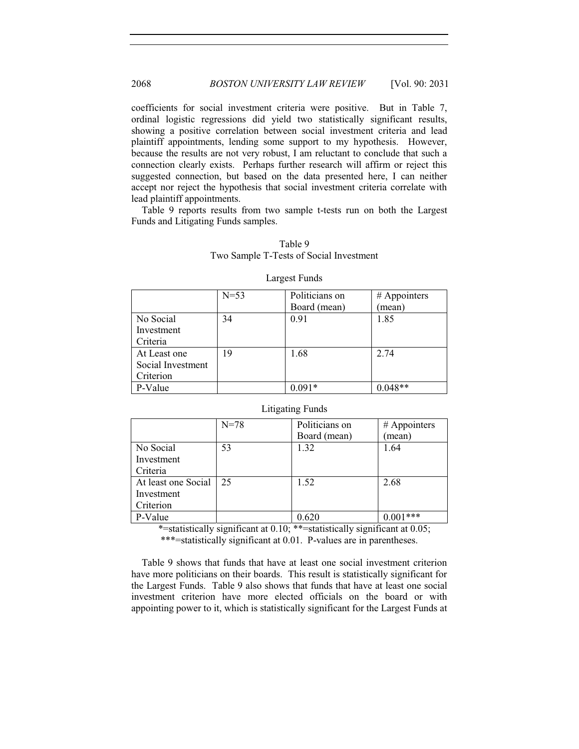coefficients for social investment criteria were positive. But in Table 7, ordinal logistic regressions did yield two statistically significant results, showing a positive correlation between social investment criteria and lead plaintiff appointments, lending some support to my hypothesis. However, because the results are not very robust, I am reluctant to conclude that such a connection clearly exists. Perhaps further research will affirm or reject this suggested connection, but based on the data presented here, I can neither accept nor reject the hypothesis that social investment criteria correlate with lead plaintiff appointments.

Table 9 reports results from two sample t-tests run on both the Largest Funds and Litigating Funds samples.

#### Table 9 Two Sample T-Tests of Social Investment

|                   | $N=53$ | Politicians on | # Appointers |
|-------------------|--------|----------------|--------------|
|                   |        | Board (mean)   | (mean)       |
| No Social         | 34     | 0.91           | 1.85         |
| Investment        |        |                |              |
| Criteria          |        |                |              |
| At Least one      | 19     | 1.68           | 2.74         |
| Social Investment |        |                |              |
| Criterion         |        |                |              |
| P-Value           |        | $0.091*$       | $0.048**$    |

#### Largest Funds

#### Litigating Funds

|                     | $N = 78$ | Politicians on | # Appointers |  |  |  |  |
|---------------------|----------|----------------|--------------|--|--|--|--|
|                     |          | Board (mean)   | (mean)       |  |  |  |  |
| No Social           | 53       | 1.32           | 1.64         |  |  |  |  |
| Investment          |          |                |              |  |  |  |  |
| Criteria            |          |                |              |  |  |  |  |
| At least one Social | 25       | 1.52           | 2.68         |  |  |  |  |
| Investment          |          |                |              |  |  |  |  |
| Criterion           |          |                |              |  |  |  |  |
| P-Value             |          | 0.620          | 1***         |  |  |  |  |

\*=statistically significant at 0.10; \*\*=statistically significant at 0.05;

\*\*\*=statistically significant at 0.01. P-values are in parentheses.

Table 9 shows that funds that have at least one social investment criterion have more politicians on their boards. This result is statistically significant for the Largest Funds. Table 9 also shows that funds that have at least one social investment criterion have more elected officials on the board or with appointing power to it, which is statistically significant for the Largest Funds at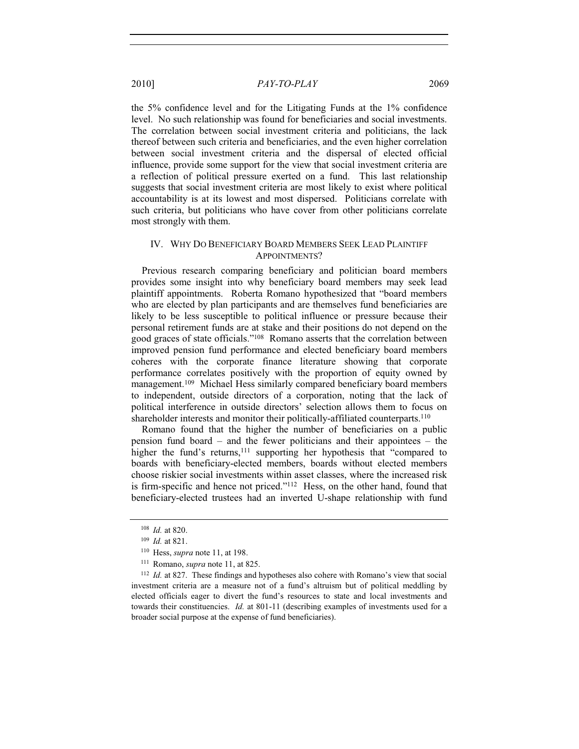the 5% confidence level and for the Litigating Funds at the 1% confidence level. No such relationship was found for beneficiaries and social investments. The correlation between social investment criteria and politicians, the lack thereof between such criteria and beneficiaries, and the even higher correlation between social investment criteria and the dispersal of elected official influence, provide some support for the view that social investment criteria are a reflection of political pressure exerted on a fund. This last relationship suggests that social investment criteria are most likely to exist where political accountability is at its lowest and most dispersed. Politicians correlate with such criteria, but politicians who have cover from other politicians correlate most strongly with them.

#### IV. WHY DO BENEFICIARY BOARD MEMBERS SEEK LEAD PLAINTIFF APPOINTMENTS?

Previous research comparing beneficiary and politician board members provides some insight into why beneficiary board members may seek lead plaintiff appointments. Roberta Romano hypothesized that "board members who are elected by plan participants and are themselves fund beneficiaries are likely to be less susceptible to political influence or pressure because their personal retirement funds are at stake and their positions do not depend on the good graces of state officials."108 Romano asserts that the correlation between improved pension fund performance and elected beneficiary board members coheres with the corporate finance literature showing that corporate performance correlates positively with the proportion of equity owned by management.109 Michael Hess similarly compared beneficiary board members to independent, outside directors of a corporation, noting that the lack of political interference in outside directors' selection allows them to focus on shareholder interests and monitor their politically-affiliated counterparts.<sup>110</sup>

Romano found that the higher the number of beneficiaries on a public pension fund board – and the fewer politicians and their appointees – the higher the fund's returns,<sup>111</sup> supporting her hypothesis that "compared to boards with beneficiary-elected members, boards without elected members choose riskier social investments within asset classes, where the increased risk is firm-specific and hence not priced."112 Hess, on the other hand, found that beneficiary-elected trustees had an inverted U-shape relationship with fund

<sup>108</sup> *Id.* at 820. 109 *Id.* at 821.

<sup>110</sup> Hess, *supra* note 11, at 198.<br><sup>111</sup> Romano, *supra* note 11, at 825.<br><sup>112</sup> *Id.* at 827. These findings and hypotheses also cohere with Romano's view that social investment criteria are a measure not of a fund's altruism but of political meddling by elected officials eager to divert the fund's resources to state and local investments and towards their constituencies. *Id.* at 801-11 (describing examples of investments used for a broader social purpose at the expense of fund beneficiaries).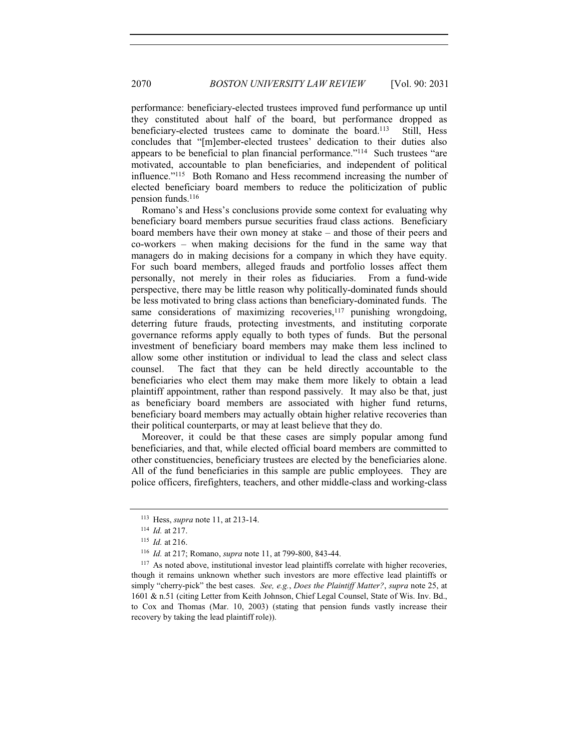performance: beneficiary-elected trustees improved fund performance up until they constituted about half of the board, but performance dropped as beneficiary-elected trustees came to dominate the board.<sup>113</sup> Still, Hess concludes that "[m]ember-elected trustees' dedication to their duties also appears to be beneficial to plan financial performance."114 Such trustees "are motivated, accountable to plan beneficiaries, and independent of political influence."115 Both Romano and Hess recommend increasing the number of elected beneficiary board members to reduce the politicization of public pension funds.116

Romano's and Hess's conclusions provide some context for evaluating why beneficiary board members pursue securities fraud class actions. Beneficiary board members have their own money at stake – and those of their peers and co-workers – when making decisions for the fund in the same way that managers do in making decisions for a company in which they have equity. For such board members, alleged frauds and portfolio losses affect them personally, not merely in their roles as fiduciaries. From a fund-wide perspective, there may be little reason why politically-dominated funds should be less motivated to bring class actions than beneficiary-dominated funds. The same considerations of maximizing recoveries,<sup>117</sup> punishing wrongdoing, deterring future frauds, protecting investments, and instituting corporate governance reforms apply equally to both types of funds. But the personal investment of beneficiary board members may make them less inclined to allow some other institution or individual to lead the class and select class counsel. The fact that they can be held directly accountable to the beneficiaries who elect them may make them more likely to obtain a lead plaintiff appointment, rather than respond passively. It may also be that, just as beneficiary board members are associated with higher fund returns, beneficiary board members may actually obtain higher relative recoveries than their political counterparts, or may at least believe that they do.

Moreover, it could be that these cases are simply popular among fund beneficiaries, and that, while elected official board members are committed to other constituencies, beneficiary trustees are elected by the beneficiaries alone. All of the fund beneficiaries in this sample are public employees. They are police officers, firefighters, teachers, and other middle-class and working-class

<sup>113</sup> Hess, *supra* note 11, at 213-14.

<sup>114</sup> *Id.* at 217. 115 *Id.* at 216. 116 *Id.* at 217; Romano, *supra* note 11, at 799-800, 843-44.

<sup>&</sup>lt;sup>117</sup> As noted above, institutional investor lead plaintiffs correlate with higher recoveries. though it remains unknown whether such investors are more effective lead plaintiffs or simply "cherry-pick" the best cases. *See, e.g.*, *Does the Plaintiff Matter?*, *supra* note 25, at 1601 & n.51 (citing Letter from Keith Johnson, Chief Legal Counsel, State of Wis. Inv. Bd., to Cox and Thomas (Mar. 10, 2003) (stating that pension funds vastly increase their recovery by taking the lead plaintiff role)).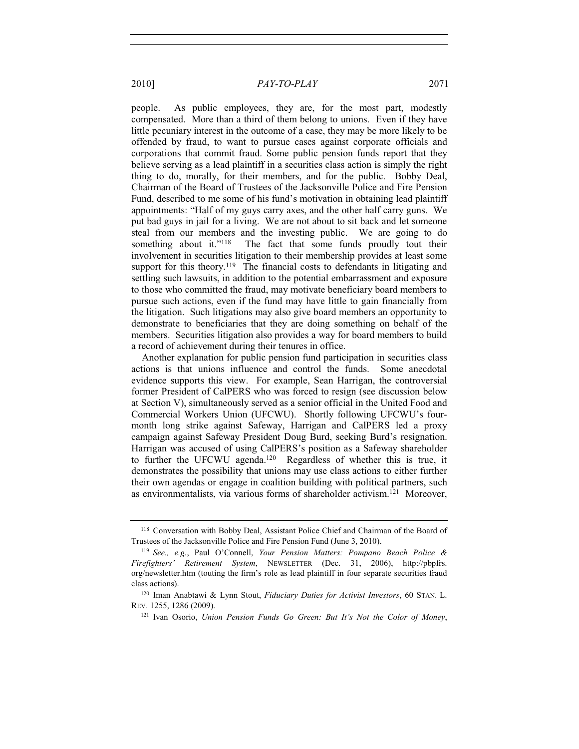people. As public employees, they are, for the most part, modestly compensated. More than a third of them belong to unions. Even if they have little pecuniary interest in the outcome of a case, they may be more likely to be offended by fraud, to want to pursue cases against corporate officials and corporations that commit fraud. Some public pension funds report that they believe serving as a lead plaintiff in a securities class action is simply the right thing to do, morally, for their members, and for the public. Bobby Deal, Chairman of the Board of Trustees of the Jacksonville Police and Fire Pension Fund, described to me some of his fund's motivation in obtaining lead plaintiff appointments: "Half of my guys carry axes, and the other half carry guns. We put bad guys in jail for a living. We are not about to sit back and let someone steal from our members and the investing public. We are going to do something about it."<sup>118</sup> The fact that some funds proudly tout their involvement in securities litigation to their membership provides at least some support for this theory.<sup>119</sup> The financial costs to defendants in litigating and settling such lawsuits, in addition to the potential embarrassment and exposure to those who committed the fraud, may motivate beneficiary board members to pursue such actions, even if the fund may have little to gain financially from the litigation. Such litigations may also give board members an opportunity to demonstrate to beneficiaries that they are doing something on behalf of the

a record of achievement during their tenures in office. Another explanation for public pension fund participation in securities class actions is that unions influence and control the funds. Some anecdotal evidence supports this view. For example, Sean Harrigan, the controversial former President of CalPERS who was forced to resign (see discussion below at Section V), simultaneously served as a senior official in the United Food and Commercial Workers Union (UFCWU). Shortly following UFCWU's fourmonth long strike against Safeway, Harrigan and CalPERS led a proxy campaign against Safeway President Doug Burd, seeking Burd's resignation. Harrigan was accused of using CalPERS's position as a Safeway shareholder to further the UFCWU agenda.120 Regardless of whether this is true, it demonstrates the possibility that unions may use class actions to either further their own agendas or engage in coalition building with political partners, such as environmentalists, via various forms of shareholder activism.121 Moreover,

members. Securities litigation also provides a way for board members to build

<sup>118</sup> Conversation with Bobby Deal, Assistant Police Chief and Chairman of the Board of Trustees of the Jacksonville Police and Fire Pension Fund (June 3, 2010).

<sup>119</sup> *See., e.g.*, Paul O'Connell, *Your Pension Matters: Pompano Beach Police & Firefighters' Retirement System*, NEWSLETTER (Dec. 31, 2006), http://pbpfrs. org/newsletter.htm (touting the firm's role as lead plaintiff in four separate securities fraud class actions).

<sup>120</sup> Iman Anabtawi & Lynn Stout, *Fiduciary Duties for Activist Investors*, 60 STAN. L. REV. 1255, 1286 (2009).

<sup>121</sup> Ivan Osorio, *Union Pension Funds Go Green: But It's Not the Color of Money*,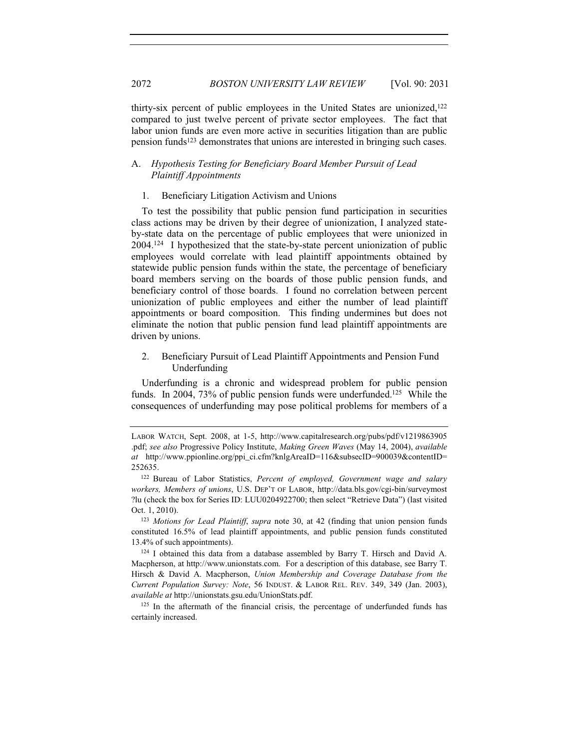thirty-six percent of public employees in the United States are unionized,<sup>122</sup> compared to just twelve percent of private sector employees. The fact that labor union funds are even more active in securities litigation than are public pension funds<sup>123</sup> demonstrates that unions are interested in bringing such cases.

#### A. *Hypothesis Testing for Beneficiary Board Member Pursuit of Lead Plaintiff Appointments*

#### 1. Beneficiary Litigation Activism and Unions

To test the possibility that public pension fund participation in securities class actions may be driven by their degree of unionization, I analyzed stateby-state data on the percentage of public employees that were unionized in 2004.124 I hypothesized that the state-by-state percent unionization of public employees would correlate with lead plaintiff appointments obtained by statewide public pension funds within the state, the percentage of beneficiary board members serving on the boards of those public pension funds, and beneficiary control of those boards. I found no correlation between percent unionization of public employees and either the number of lead plaintiff appointments or board composition. This finding undermines but does not eliminate the notion that public pension fund lead plaintiff appointments are driven by unions.

2. Beneficiary Pursuit of Lead Plaintiff Appointments and Pension Fund Underfunding

Underfunding is a chronic and widespread problem for public pension funds. In 2004, 73% of public pension funds were underfunded.<sup>125</sup> While the consequences of underfunding may pose political problems for members of a

<sup>123</sup> *Motions for Lead Plaintiff*, *supra* note 30, at 42 (finding that union pension funds constituted 16.5% of lead plaintiff appointments, and public pension funds constituted 13.4% of such appointments).

 $124$  I obtained this data from a database assembled by Barry T. Hirsch and David A. Macpherson, at http://www.unionstats.com. For a description of this database, see Barry T. Hirsch & David A. Macpherson, *Union Membership and Coverage Database from the Current Population Survey: Note*, 56 INDUST.&LABOR REL. REV. 349, 349 (Jan. 2003), *available at* http://unionstats.gsu.edu/UnionStats.pdf.

<sup>125</sup> In the aftermath of the financial crisis, the percentage of underfunded funds has certainly increased.

LABOR WATCH, Sept. 2008, at 1-5, http://www.capitalresearch.org/pubs/pdf/v1219863905 .pdf; *see also* Progressive Policy Institute, *Making Green Waves* (May 14, 2004), *available at* http://www.ppionline.org/ppi\_ci.cfm?knlgAreaID=116&subsecID=900039&contentID= 252635.

<sup>122</sup> Bureau of Labor Statistics, *Percent of employed, Government wage and salary workers, Members of unions*, U.S. DEP'T OF LABOR, http://data.bls.gov/cgi-bin/surveymost ?lu (check the box for Series ID: LUU0204922700; then select "Retrieve Data") (last visited Oct. 1, 2010).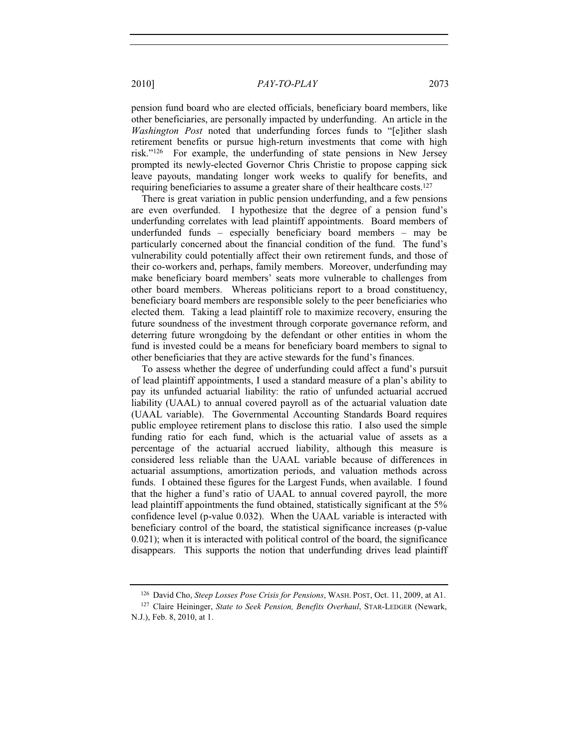pension fund board who are elected officials, beneficiary board members, like other beneficiaries, are personally impacted by underfunding. An article in the *Washington Post* noted that underfunding forces funds to "[e]ither slash retirement benefits or pursue high-return investments that come with high risk."126 For example, the underfunding of state pensions in New Jersey prompted its newly-elected Governor Chris Christie to propose capping sick leave payouts, mandating longer work weeks to qualify for benefits, and requiring beneficiaries to assume a greater share of their healthcare costs.<sup>127</sup>

There is great variation in public pension underfunding, and a few pensions are even overfunded. I hypothesize that the degree of a pension fund's underfunding correlates with lead plaintiff appointments. Board members of underfunded funds – especially beneficiary board members – may be particularly concerned about the financial condition of the fund. The fund's vulnerability could potentially affect their own retirement funds, and those of their co-workers and, perhaps, family members. Moreover, underfunding may make beneficiary board members' seats more vulnerable to challenges from other board members. Whereas politicians report to a broad constituency, beneficiary board members are responsible solely to the peer beneficiaries who elected them. Taking a lead plaintiff role to maximize recovery, ensuring the future soundness of the investment through corporate governance reform, and deterring future wrongdoing by the defendant or other entities in whom the fund is invested could be a means for beneficiary board members to signal to other beneficiaries that they are active stewards for the fund's finances.

To assess whether the degree of underfunding could affect a fund's pursuit of lead plaintiff appointments, I used a standard measure of a plan's ability to pay its unfunded actuarial liability: the ratio of unfunded actuarial accrued liability (UAAL) to annual covered payroll as of the actuarial valuation date (UAAL variable). The Governmental Accounting Standards Board requires public employee retirement plans to disclose this ratio. I also used the simple funding ratio for each fund, which is the actuarial value of assets as a percentage of the actuarial accrued liability, although this measure is considered less reliable than the UAAL variable because of differences in actuarial assumptions, amortization periods, and valuation methods across funds. I obtained these figures for the Largest Funds, when available. I found that the higher a fund's ratio of UAAL to annual covered payroll, the more lead plaintiff appointments the fund obtained, statistically significant at the 5% confidence level (p-value 0.032). When the UAAL variable is interacted with beneficiary control of the board, the statistical significance increases (p-value 0.021); when it is interacted with political control of the board, the significance disappears. This supports the notion that underfunding drives lead plaintiff

<sup>126</sup> David Cho, *Steep Losses Pose Crisis for Pensions*, WASH. POST, Oct. 11, 2009, at A1.

<sup>127</sup> Claire Heininger, *State to Seek Pension, Benefits Overhaul*, STAR-LEDGER (Newark, N.J.), Feb. 8, 2010, at 1.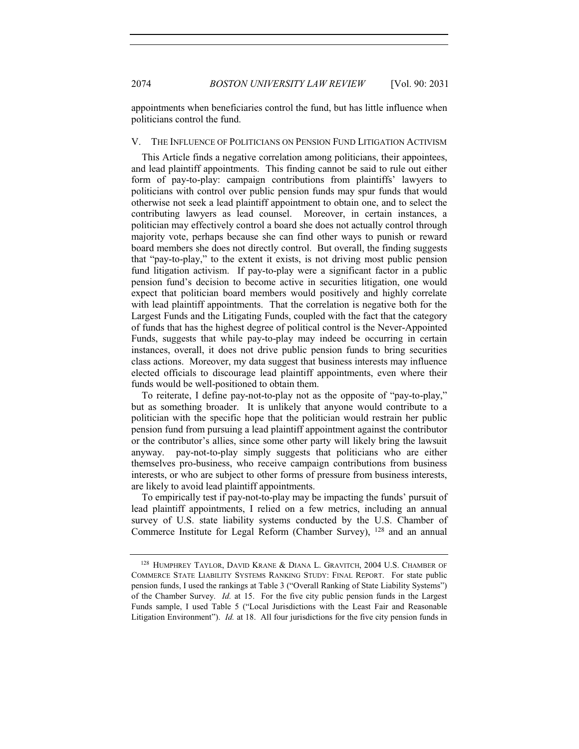2074 *BOSTON UNIVERSITY LAW REVIEW* [Vol. 90: 2031

appointments when beneficiaries control the fund, but has little influence when politicians control the fund.

#### V. THE INFLUENCE OF POLITICIANS ON PENSION FUND LITIGATION ACTIVISM

This Article finds a negative correlation among politicians, their appointees, and lead plaintiff appointments. This finding cannot be said to rule out either form of pay-to-play: campaign contributions from plaintiffs' lawyers to politicians with control over public pension funds may spur funds that would otherwise not seek a lead plaintiff appointment to obtain one, and to select the contributing lawyers as lead counsel. Moreover, in certain instances, a politician may effectively control a board she does not actually control through majority vote, perhaps because she can find other ways to punish or reward board members she does not directly control. But overall, the finding suggests that "pay-to-play," to the extent it exists, is not driving most public pension fund litigation activism. If pay-to-play were a significant factor in a public pension fund's decision to become active in securities litigation, one would expect that politician board members would positively and highly correlate with lead plaintiff appointments. That the correlation is negative both for the Largest Funds and the Litigating Funds, coupled with the fact that the category of funds that has the highest degree of political control is the Never-Appointed Funds, suggests that while pay-to-play may indeed be occurring in certain instances, overall, it does not drive public pension funds to bring securities class actions. Moreover, my data suggest that business interests may influence elected officials to discourage lead plaintiff appointments, even where their funds would be well-positioned to obtain them.

To reiterate, I define pay-not-to-play not as the opposite of "pay-to-play," but as something broader. It is unlikely that anyone would contribute to a politician with the specific hope that the politician would restrain her public pension fund from pursuing a lead plaintiff appointment against the contributor or the contributor's allies, since some other party will likely bring the lawsuit anyway. pay-not-to-play simply suggests that politicians who are either themselves pro-business, who receive campaign contributions from business interests, or who are subject to other forms of pressure from business interests, are likely to avoid lead plaintiff appointments.

To empirically test if pay-not-to-play may be impacting the funds' pursuit of lead plaintiff appointments, I relied on a few metrics, including an annual survey of U.S. state liability systems conducted by the U.S. Chamber of Commerce Institute for Legal Reform (Chamber Survey), 128 and an annual

<sup>&</sup>lt;sup>128</sup> HUMPHREY TAYLOR, DAVID KRANE & DIANA L. GRAVITCH, 2004 U.S. CHAMBER OF COMMERCE STATE LIABILITY SYSTEMS RANKING STUDY: FINAL REPORT. For state public pension funds, I used the rankings at Table 3 ("Overall Ranking of State Liability Systems") of the Chamber Survey. *Id.* at 15. For the five city public pension funds in the Largest Funds sample, I used Table 5 ("Local Jurisdictions with the Least Fair and Reasonable Litigation Environment"). *Id.* at 18. All four jurisdictions for the five city pension funds in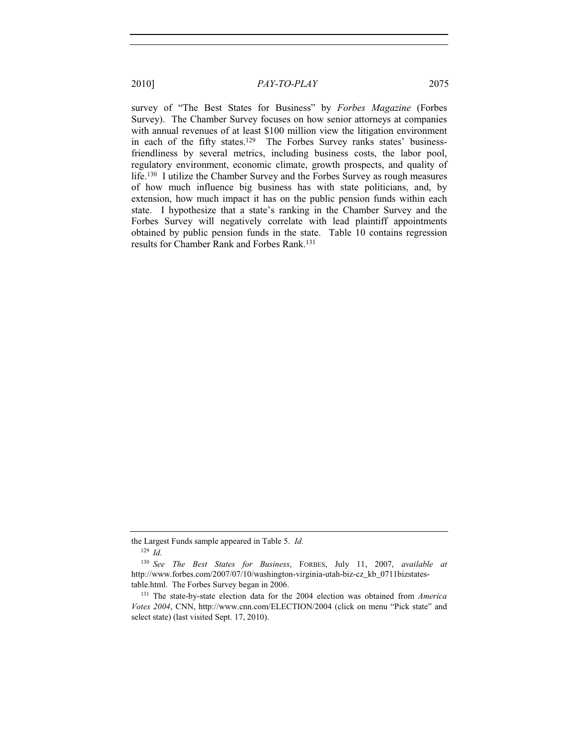survey of "The Best States for Business" by *Forbes Magazine* (Forbes Survey). The Chamber Survey focuses on how senior attorneys at companies with annual revenues of at least \$100 million view the litigation environment in each of the fifty states.129 The Forbes Survey ranks states' businessfriendliness by several metrics, including business costs, the labor pool, regulatory environment, economic climate, growth prospects, and quality of life.130 I utilize the Chamber Survey and the Forbes Survey as rough measures of how much influence big business has with state politicians, and, by extension, how much impact it has on the public pension funds within each state. I hypothesize that a state's ranking in the Chamber Survey and the Forbes Survey will negatively correlate with lead plaintiff appointments obtained by public pension funds in the state. Table 10 contains regression results for Chamber Rank and Forbes Rank.131

the Largest Funds sample appeared in Table 5. *Id.*

<sup>129</sup> *Id.*

<sup>130</sup> *See The Best States for Business*, FORBES, July 11, 2007, *available at* http://www.forbes.com/2007/07/10/washington-virginia-utah-biz-cz\_kb\_0711bizstatestable.html. The Forbes Survey began in 2006.

<sup>131</sup> The state-by-state election data for the 2004 election was obtained from *America Votes 2004*, CNN, http://www.cnn.com/ELECTION/2004 (click on menu "Pick state" and select state) (last visited Sept. 17, 2010).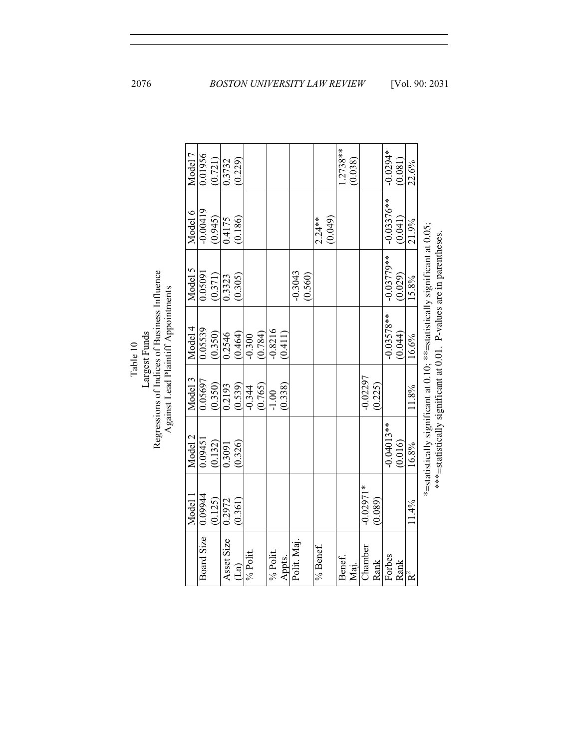| Regressions of Indices of Business Influence<br>Against Lead Plaintiff Appointments<br>Largest Funds<br>Table 10 |         | Model 7 | 0.01956    | (0.721) | 0.3732     | (0.229)          |             |           |          |           |             |  |                     | $1.2738**$ | (0.038) |             |              | $-0.0294*$   | (0.081) | 22.6%                                                                                                                                             |  |
|------------------------------------------------------------------------------------------------------------------|---------|---------|------------|---------|------------|------------------|-------------|-----------|----------|-----------|-------------|--|---------------------|------------|---------|-------------|--------------|--------------|---------|---------------------------------------------------------------------------------------------------------------------------------------------------|--|
|                                                                                                                  |         | Model 6 | $-0.00419$ | (0.945) | 0.4175     | (0.186)          |             |           |          |           |             |  | (0.049)<br>$2.24**$ |            |         |             |              | $-0.03376**$ | (0.041) | 21.9%                                                                                                                                             |  |
|                                                                                                                  | Model 5 | 0.05091 | (0.371)    | 0.3323  | (0.305)    |                  |             |           |          | $-0.3043$ | (0.560)     |  |                     |            |         |             | $-0.03779**$ | (0.029)      | 15.8%   |                                                                                                                                                   |  |
|                                                                                                                  | Model 4 | 0.05539 | (0.350)    | 0.2546  | (0.464)    | $-0.300$         | (0.784)     | $-0.8216$ | (0.411)  |           |             |  |                     |            |         |             | $-0.03578**$ | (0.044)      | 16.6%   |                                                                                                                                                   |  |
|                                                                                                                  |         | Model 3 | 0.05697    | (0.350) | 0.2193     | (0.539)          | $-0.344$    | (0.765)   | $-1.00$  | (0.338)   |             |  |                     |            |         | $-0.02297$  | (0.225)      |              |         | 11.8%                                                                                                                                             |  |
|                                                                                                                  | Model 2 | 0.0945  | (0.132)    | 0.3091  | (0.326)    |                  |             |           |          |           |             |  |                     |            |         |             | $-0.04013**$ | (0.016)      | 16.8%   | *=statistically significant at 0.10; **=statistically significant at 0.05;<br>***=statistically significant at 0.01. P-values are in parentheses. |  |
|                                                                                                                  |         | Model   | 0.09944    | (0.125) | 0.2972     | (0.361)          |             |           |          |           |             |  |                     |            |         | $-0.02971*$ | (0.089)      |              |         | 11.4%                                                                                                                                             |  |
|                                                                                                                  |         |         | Board Size |         | Asset Size | $\overline{\Xi}$ | $\%$ Polit. |           | % Polit. | Appts.    | Polit. Maj. |  | % Benef.            | Benef.     | Maj.    | Chamber     | Rank         | Forbes       | Rank    | $R^2$                                                                                                                                             |  |

2076 *BOSTON UNIVERSITY LAW REVIEW* [Vol. 90: 2031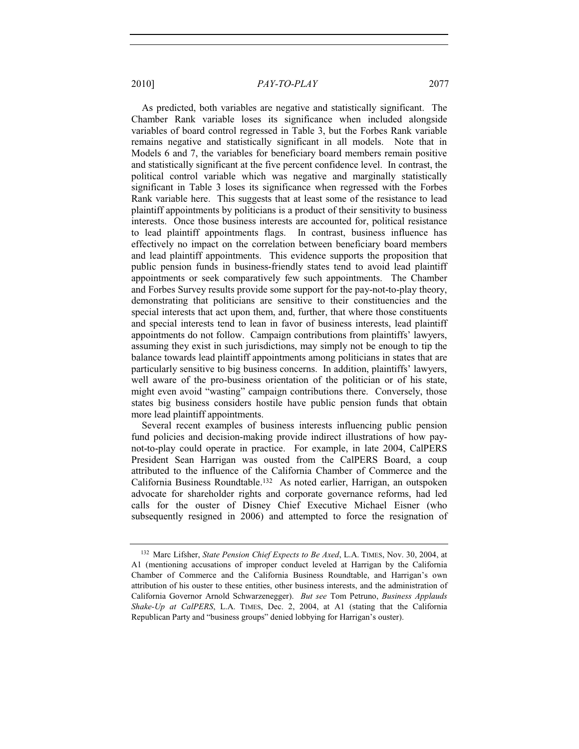As predicted, both variables are negative and statistically significant. The Chamber Rank variable loses its significance when included alongside variables of board control regressed in Table 3, but the Forbes Rank variable remains negative and statistically significant in all models. Note that in Models 6 and 7, the variables for beneficiary board members remain positive and statistically significant at the five percent confidence level. In contrast, the political control variable which was negative and marginally statistically significant in Table 3 loses its significance when regressed with the Forbes Rank variable here. This suggests that at least some of the resistance to lead plaintiff appointments by politicians is a product of their sensitivity to business interests. Once those business interests are accounted for, political resistance to lead plaintiff appointments flags. In contrast, business influence has effectively no impact on the correlation between beneficiary board members and lead plaintiff appointments. This evidence supports the proposition that public pension funds in business-friendly states tend to avoid lead plaintiff appointments or seek comparatively few such appointments. The Chamber and Forbes Survey results provide some support for the pay-not-to-play theory, demonstrating that politicians are sensitive to their constituencies and the special interests that act upon them, and, further, that where those constituents and special interests tend to lean in favor of business interests, lead plaintiff appointments do not follow. Campaign contributions from plaintiffs' lawyers, assuming they exist in such jurisdictions, may simply not be enough to tip the balance towards lead plaintiff appointments among politicians in states that are particularly sensitive to big business concerns. In addition, plaintiffs' lawyers, well aware of the pro-business orientation of the politician or of his state, might even avoid "wasting" campaign contributions there. Conversely, those states big business considers hostile have public pension funds that obtain more lead plaintiff appointments.

Several recent examples of business interests influencing public pension fund policies and decision-making provide indirect illustrations of how paynot-to-play could operate in practice. For example, in late 2004, CalPERS President Sean Harrigan was ousted from the CalPERS Board, a coup attributed to the influence of the California Chamber of Commerce and the California Business Roundtable.132 As noted earlier, Harrigan, an outspoken advocate for shareholder rights and corporate governance reforms, had led calls for the ouster of Disney Chief Executive Michael Eisner (who subsequently resigned in 2006) and attempted to force the resignation of

<sup>132</sup> Marc Lifsher, *State Pension Chief Expects to Be Axed*, L.A. TIMES, Nov. 30, 2004, at A1 (mentioning accusations of improper conduct leveled at Harrigan by the California Chamber of Commerce and the California Business Roundtable, and Harrigan's own attribution of his ouster to these entities, other business interests, and the administration of California Governor Arnold Schwarzenegger). *But see* Tom Petruno, *Business Applauds Shake-Up at CalPERS*, L.A. TIMES, Dec. 2, 2004, at A1 (stating that the California Republican Party and "business groups" denied lobbying for Harrigan's ouster).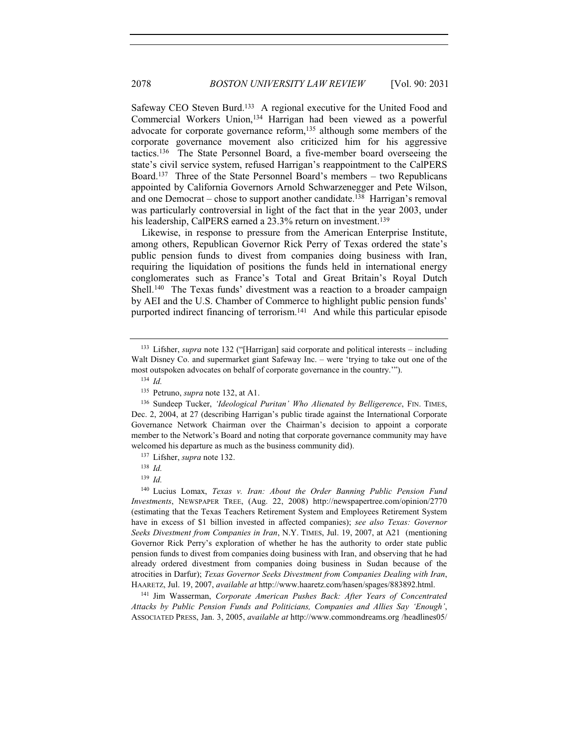Safeway CEO Steven Burd.<sup>133</sup> A regional executive for the United Food and Commercial Workers Union,134 Harrigan had been viewed as a powerful advocate for corporate governance reform,135 although some members of the corporate governance movement also criticized him for his aggressive tactics.136 The State Personnel Board, a five-member board overseeing the state's civil service system, refused Harrigan's reappointment to the CalPERS Board.137 Three of the State Personnel Board's members – two Republicans appointed by California Governors Arnold Schwarzenegger and Pete Wilson, and one Democrat – chose to support another candidate.<sup>138</sup> Harrigan's removal was particularly controversial in light of the fact that in the year 2003, under his leadership, CalPERS earned a 23.3% return on investment.<sup>139</sup>

Likewise, in response to pressure from the American Enterprise Institute, among others, Republican Governor Rick Perry of Texas ordered the state's public pension funds to divest from companies doing business with Iran, requiring the liquidation of positions the funds held in international energy conglomerates such as France's Total and Great Britain's Royal Dutch Shell.140 The Texas funds' divestment was a reaction to a broader campaign by AEI and the U.S. Chamber of Commerce to highlight public pension funds' purported indirect financing of terrorism.<sup>141</sup> And while this particular episode

<sup>134</sup> *Id.*

<sup>139</sup> *Id.*

<sup>141</sup> Jim Wasserman, *Corporate American Pushes Back: After Years of Concentrated Attacks by Public Pension Funds and Politicians, Companies and Allies Say 'Enough'*, ASSOCIATED PRESS, Jan. 3, 2005, *available at* http://www.commondreams.org /headlines05/

<sup>133</sup> Lifsher, *supra* note 132 ("[Harrigan] said corporate and political interests – including Walt Disney Co. and supermarket giant Safeway Inc. – were 'trying to take out one of the most outspoken advocates on behalf of corporate governance in the country.'").

<sup>135</sup> Petruno, *supra* note 132, at A1.

<sup>&</sup>lt;sup>136</sup> Sundeep Tucker, 'Ideological Puritan' Who Alienated by Belligerence, FIN. TIMES, Dec. 2, 2004, at 27 (describing Harrigan's public tirade against the International Corporate Governance Network Chairman over the Chairman's decision to appoint a corporate member to the Network's Board and noting that corporate governance community may have welcomed his departure as much as the business community did).

<sup>137</sup> Lifsher, *supra* note 132.

<sup>138</sup> *Id.*

<sup>140</sup> Lucius Lomax, *Texas v. Iran: About the Order Banning Public Pension Fund Investments*, NEWSPAPER TREE, (Aug. 22, 2008) http://newspapertree.com/opinion/2770 (estimating that the Texas Teachers Retirement System and Employees Retirement System have in excess of \$1 billion invested in affected companies); *see also Texas: Governor Seeks Divestment from Companies in Iran*, N.Y. TIMES, Jul. 19, 2007, at A21 (mentioning Governor Rick Perry's exploration of whether he has the authority to order state public pension funds to divest from companies doing business with Iran, and observing that he had already ordered divestment from companies doing business in Sudan because of the atrocities in Darfur); *Texas Governor Seeks Divestment from Companies Dealing with Iran*, HAARETZ, Jul. 19, 2007, *available at* http://www.haaretz.com/hasen/spages/883892.html.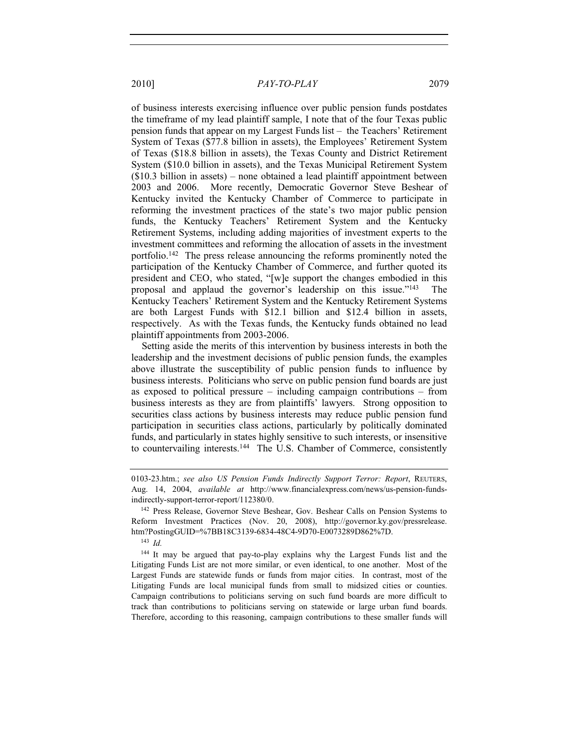of business interests exercising influence over public pension funds postdates the timeframe of my lead plaintiff sample, I note that of the four Texas public pension funds that appear on my Largest Funds list – the Teachers' Retirement System of Texas (\$77.8 billion in assets), the Employees' Retirement System of Texas (\$18.8 billion in assets), the Texas County and District Retirement System (\$10.0 billion in assets), and the Texas Municipal Retirement System (\$10.3 billion in assets) – none obtained a lead plaintiff appointment between 2003 and 2006. More recently, Democratic Governor Steve Beshear of Kentucky invited the Kentucky Chamber of Commerce to participate in reforming the investment practices of the state's two major public pension funds, the Kentucky Teachers' Retirement System and the Kentucky Retirement Systems, including adding majorities of investment experts to the investment committees and reforming the allocation of assets in the investment portfolio.142 The press release announcing the reforms prominently noted the participation of the Kentucky Chamber of Commerce, and further quoted its president and CEO, who stated, "[w]e support the changes embodied in this proposal and applaud the governor's leadership on this issue."143 The Kentucky Teachers' Retirement System and the Kentucky Retirement Systems are both Largest Funds with \$12.1 billion and \$12.4 billion in assets, respectively. As with the Texas funds, the Kentucky funds obtained no lead plaintiff appointments from 2003-2006.

Setting aside the merits of this intervention by business interests in both the leadership and the investment decisions of public pension funds, the examples above illustrate the susceptibility of public pension funds to influence by business interests. Politicians who serve on public pension fund boards are just as exposed to political pressure – including campaign contributions – from business interests as they are from plaintiffs' lawyers. Strong opposition to securities class actions by business interests may reduce public pension fund participation in securities class actions, particularly by politically dominated funds, and particularly in states highly sensitive to such interests, or insensitive to countervailing interests.<sup>144</sup> The U.S. Chamber of Commerce, consistently

<sup>143</sup> *Id.*

<sup>0103-23.</sup>htm.; *see also US Pension Funds Indirectly Support Terror: Report*, REUTERS, Aug. 14, 2004, *available at* http://www.financialexpress.com/news/us-pension-fundsindirectly-support-terror-report/112380/0.

<sup>142</sup> Press Release, Governor Steve Beshear, Gov. Beshear Calls on Pension Systems to Reform Investment Practices (Nov. 20, 2008), http://governor.ky.gov/pressrelease. htm?PostingGUID=%7BB18C3139-6834-48C4-9D70-E0073289D862%7D.

<sup>144</sup> It may be argued that pay-to-play explains why the Largest Funds list and the Litigating Funds List are not more similar, or even identical, to one another. Most of the Largest Funds are statewide funds or funds from major cities. In contrast, most of the Litigating Funds are local municipal funds from small to midsized cities or counties. Campaign contributions to politicians serving on such fund boards are more difficult to track than contributions to politicians serving on statewide or large urban fund boards. Therefore, according to this reasoning, campaign contributions to these smaller funds will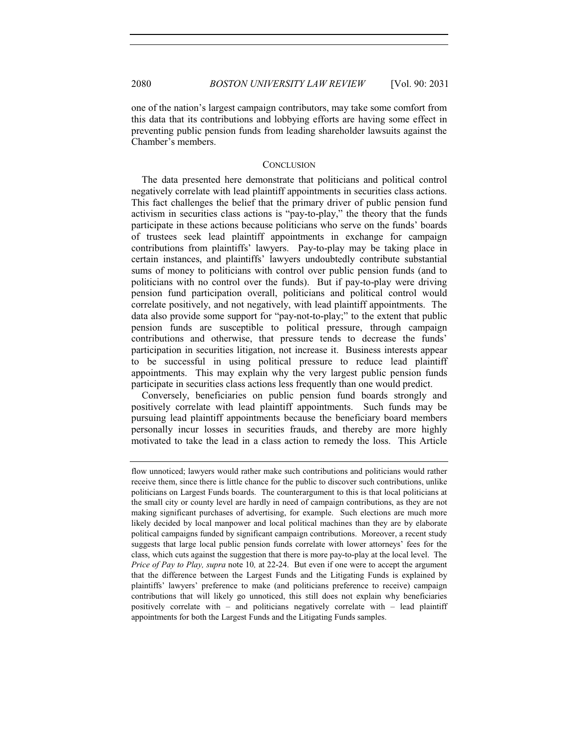one of the nation's largest campaign contributors, may take some comfort from this data that its contributions and lobbying efforts are having some effect in preventing public pension funds from leading shareholder lawsuits against the Chamber's members.

#### **CONCLUSION**

The data presented here demonstrate that politicians and political control negatively correlate with lead plaintiff appointments in securities class actions. This fact challenges the belief that the primary driver of public pension fund activism in securities class actions is "pay-to-play," the theory that the funds participate in these actions because politicians who serve on the funds' boards of trustees seek lead plaintiff appointments in exchange for campaign contributions from plaintiffs' lawyers. Pay-to-play may be taking place in certain instances, and plaintiffs' lawyers undoubtedly contribute substantial sums of money to politicians with control over public pension funds (and to politicians with no control over the funds). But if pay-to-play were driving pension fund participation overall, politicians and political control would correlate positively, and not negatively, with lead plaintiff appointments. The data also provide some support for "pay-not-to-play;" to the extent that public pension funds are susceptible to political pressure, through campaign contributions and otherwise, that pressure tends to decrease the funds' participation in securities litigation, not increase it. Business interests appear to be successful in using political pressure to reduce lead plaintiff appointments. This may explain why the very largest public pension funds participate in securities class actions less frequently than one would predict.

Conversely, beneficiaries on public pension fund boards strongly and positively correlate with lead plaintiff appointments. Such funds may be pursuing lead plaintiff appointments because the beneficiary board members personally incur losses in securities frauds, and thereby are more highly motivated to take the lead in a class action to remedy the loss. This Article

flow unnoticed; lawyers would rather make such contributions and politicians would rather receive them, since there is little chance for the public to discover such contributions, unlike politicians on Largest Funds boards. The counterargument to this is that local politicians at the small city or county level are hardly in need of campaign contributions, as they are not making significant purchases of advertising, for example. Such elections are much more likely decided by local manpower and local political machines than they are by elaborate political campaigns funded by significant campaign contributions. Moreover, a recent study suggests that large local public pension funds correlate with lower attorneys' fees for the class, which cuts against the suggestion that there is more pay-to-play at the local level. The *Price of Pay to Play, supra* note 10*,* at 22-24. But even if one were to accept the argument that the difference between the Largest Funds and the Litigating Funds is explained by plaintiffs' lawyers' preference to make (and politicians preference to receive) campaign contributions that will likely go unnoticed, this still does not explain why beneficiaries positively correlate with – and politicians negatively correlate with – lead plaintiff appointments for both the Largest Funds and the Litigating Funds samples.